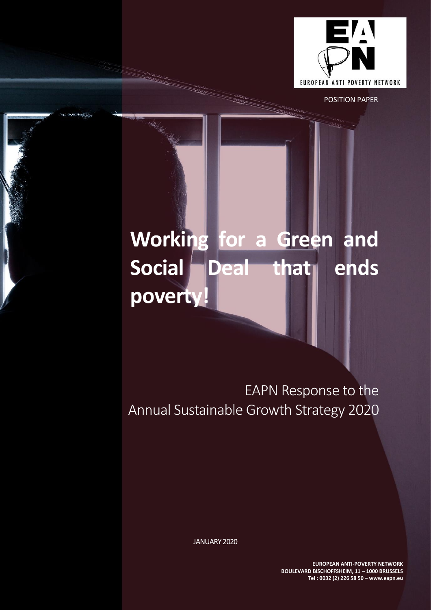

POSITION PAPER

# **Working for a Green and Social Deal that ends poverty!**

EAPN Response to the Annual Sustainable Growth Strategy 2020

JANUARY 2020

**EUROPEAN ANTI-POVERTY NETWORK BOULEVARD BISCHOFFSHEIM, 11 – 1000 BRUSSELS Tel : 0032 (2) 226 58 50 – www.eapn.eu**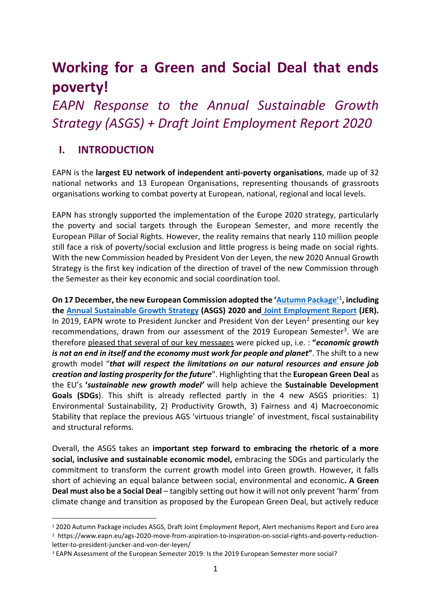# **Working for a Green and Social Deal that ends poverty!**

*EAPN Response to the Annual Sustainable Growth Strategy (ASGS) + Draft Joint Employment Report 2020*

### **I. INTRODUCTION**

EAPN is the **largest EU network of independent anti-poverty organisations**, made up of 32 national networks and 13 European Organisations, representing thousands of grassroots organisations working to combat poverty at European, national, regional and local levels.

EAPN has strongly supported the implementation of the Europe 2020 strategy, particularly the poverty and social targets through the European Semester, and more recently the European Pillar of Social Rights. However, the reality remains that nearly 110 million people still face a risk of poverty/social exclusion and little progress is being made on social rights. With the new Commission headed by President Von der Leyen, the new 2020 Annual Growth Strategy is the first key indication of the direction of travel of the new Commission through the Semester as their key economic and social coordination tool.

**On 17 December, the new European Commission adopted the ['Autumn Package'](https://ec.europa.eu/info/business-economy-euro/economic-and-fiscal-policy-coordination/eu-economic-governance-monitoring-prevention-correction/european-semester/european-semester-timeline/autumn-package-explained_en)**<sup>1</sup> **, including the [Annual Sustainable Growth Strategy](https://ec.europa.eu/info/publications/2020-european-semester-annual-sustainable-growth-strategy_en) (ASGS) 2020 and [Joint Employment Report](https://ec.europa.eu/info/publications/2020-european-semester-joint-employment-report_en) (JER).**  In 2019, EAPN wrote to President Juncker and President Von der Leyen<sup>2</sup> presenting our key recommendations, drawn from our assessment of the 2019 European Semester<sup>3</sup>. We are therefore pleased that several of our key messages were picked up, i.e. : **"***economic growth is not an end in itself and the economy must work for people and planet***"**. The shift to a new growth model "*that will respect the limitations on our natural resources and ensure job creation and lasting prosperity for the future*". Highlighting that the **European Green Deal** as the EU's **'***sustainable new growth model'* will help achieve the **Sustainable Development Goals (SDGs**). This shift is already reflected partly in the 4 new ASGS priorities: 1) Environmental Sustainability, 2) Productivity Growth, 3) Fairness and 4) Macroeconomic Stability that replace the previous AGS 'virtuous triangle' of investment, fiscal sustainability and structural reforms.

Overall, the ASGS takes an **important step forward to embracing the rhetoric of a more social, inclusive and sustainable economic model,** embracing the SDGs and particularly the commitment to transform the current growth model into Green growth. However, it falls short of achieving an equal balance between social, environmental and economic**. A Green Deal must also be a Social Deal** – tangibly setting out how it will not only prevent 'harm' from climate change and transition as proposed by the European Green Deal, but actively reduce

<sup>1</sup> 2020 Autumn Package includes ASGS, Draft Joint Employment Report, Alert mechanisms Report and Euro area <sup>2</sup> https://www.eapn.eu/ags-2020-move-from-aspiration-to-inspiration-on-social-rights-and-poverty-reductionletter-to-president-juncker-and-von-der-leyen/

<sup>3</sup> EAPN Assessment of the European Semester 2019: Is the 2019 European Semester more social?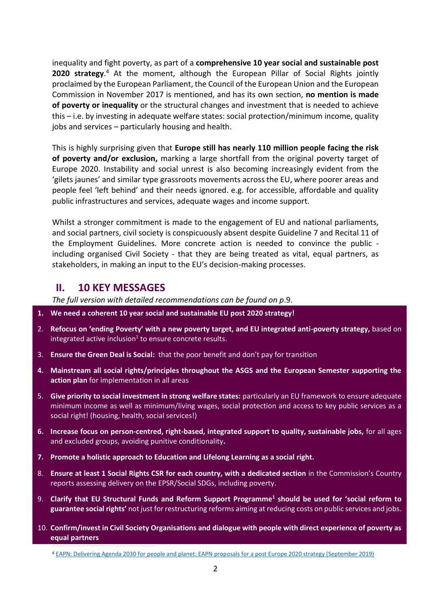inequality and fight poverty, as part of a **comprehensive 10 year social and sustainable post 2020 strategy**. <sup>4</sup> At the moment, although the European Pillar of Social Rights jointly proclaimed by the European Parliament, the Council of the European Union and the European Commission in November 2017 is mentioned, and has its own section, **no mention is made of poverty or inequality** or the structural changes and investment that is needed to achieve this – i.e. by investing in adequate welfare states: social protection/minimum income, quality jobs and services – particularly housing and health.

This is highly surprising given that **Europe still has nearly 110 million people facing the risk of poverty and/or exclusion,** marking a large shortfall from the original poverty target of Europe 2020. Instability and social unrest is also becoming increasingly evident from the 'gilets jaunes' and similar type grassroots movements across the EU, where poorer areas and people feel 'left behind' and their needs ignored. e.g. for accessible, affordable and quality public infrastructures and services, adequate wages and income support.

Whilst a stronger commitment is made to the engagement of EU and national parliaments, and social partners, civil society is conspicuously absent despite Guideline 7 and Recital 11 of the Employment Guidelines. More concrete action is needed to convince the public including organised Civil Society - that they are being treated as vital, equal partners, as stakeholders, in making an input to the EU's decision-making processes.

#### **II. 10 KEY MESSAGES**

*The full version with detailed recommendations can be found on p*.9.

- **1. We need a coherent 10 year social and sustainable EU post 2020 strategy!**
- 2. **Refocus on 'ending Poverty' with a new poverty target, and EU integrated anti-poverty strategy,** based on integrated active inclusion<sup>1</sup> to ensure concrete results.
- 3. **Ensure the Green Deal is Social:** that the poor benefit and don't pay for transition
- **4. Mainstream all social rights/principles throughout the ASGS and the European Semester supporting the action plan** for implementation in all areas
- 5. **Give priority to social investment in strong welfare states:** particularly an EU framework to ensure adequate minimum income as well as minimum/living wages, social protection and access to key public services as a social right! (housing, health, social services!)
- **6. Increase focus on person-centred, right-based, integrated support to quality, sustainable jobs,** for all ages and excluded groups, avoiding punitive conditionality**.**
- **7. Promote a holistic approach to Education and Lifelong Learning as a social right.**
- 8. **Ensure at least 1 Social Rights CSR for each country, with a dedicated section** in the Commission's Country reports assessing delivery on the EPSR/Social SDGs, including poverty.
- 9. **Clarify that EU Structural Funds and Reform Support Programme<sup>1</sup> should be used for 'social reform to guarantee social rights'** not just for restructuring reforms aiming at reducing costs on public services and jobs.
- 10. **Confirm/invest in Civil Society Organisations and dialogue with people with direct experience of poverty as equal partners**

<sup>4</sup> [EAPN: Delivering Agenda 2030 for people and planet: EAPN proposals for a post Europe 2020 strategy \(September 2019\)](https://www.eapn.eu/delivering-agenda-2030-for-people-and-planet-eapn-proposals-for-a-post-europe-2020-strategy/)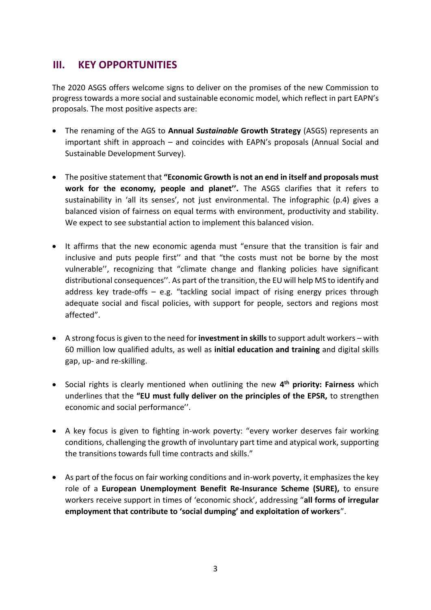### **III. KEY OPPORTUNITIES**

The 2020 ASGS offers welcome signs to deliver on the promises of the new Commission to progress towards a more social and sustainable economic model, which reflect in part EAPN's proposals. The most positive aspects are:

- The renaming of the AGS to **Annual** *Sustainable* **Growth Strategy** (ASGS) represents an important shift in approach – and coincides with EAPN's proposals (Annual Social and Sustainable Development Survey).
- The positive statement that **"Economic Growth is not an end in itself and proposals must work for the economy, people and planet''.** The ASGS clarifies that it refers to sustainability in 'all its senses', not just environmental. The infographic (p.4) gives a balanced vision of fairness on equal terms with environment, productivity and stability. We expect to see substantial action to implement this balanced vision.
- It affirms that the new economic agenda must "ensure that the transition is fair and inclusive and puts people first'' and that "the costs must not be borne by the most vulnerable'', recognizing that "climate change and flanking policies have significant distributional consequences''. As part of the transition, the EU will help MS to identify and address key trade-offs – e.g. "tackling social impact of rising energy prices through adequate social and fiscal policies, with support for people, sectors and regions most affected".
- A strong focus is given to the need for **investment in skills** to support adult workers with 60 million low qualified adults, as well as **initial education and training** and digital skills gap, up- and re-skilling.
- Social rights is clearly mentioned when outlining the new **4 th priority: Fairness** which underlines that the **"EU must fully deliver on the principles of the EPSR,** to strengthen economic and social performance''.
- A key focus is given to fighting in-work poverty: "every worker deserves fair working conditions, challenging the growth of involuntary part time and atypical work, supporting the transitions towards full time contracts and skills."
- As part of the focus on fair working conditions and in-work poverty, it emphasizes the key role of a **European Unemployment Benefit Re-Insurance Scheme (SURE),** to ensure workers receive support in times of 'economic shock', addressing "**all forms of irregular employment that contribute to 'social dumping' and exploitation of workers**".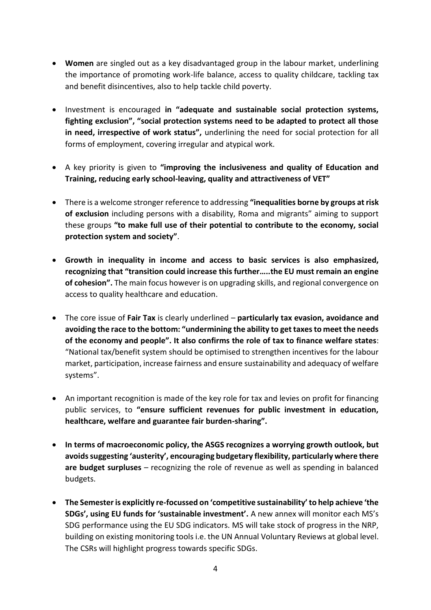- **Women** are singled out as a key disadvantaged group in the labour market, underlining the importance of promoting work-life balance, access to quality childcare, tackling tax and benefit disincentives, also to help tackle child poverty.
- Investment is encouraged **in "adequate and sustainable social protection systems, fighting exclusion", "social protection systems need to be adapted to protect all those in need, irrespective of work status",** underlining the need for social protection for all forms of employment, covering irregular and atypical work.
- A key priority is given to **"improving the inclusiveness and quality of Education and Training, reducing early school-leaving, quality and attractiveness of VET"**
- There is a welcome stronger reference to addressing **"inequalities borne by groups at risk of exclusion** including persons with a disability, Roma and migrants" aiming to support these groups **"to make full use of their potential to contribute to the economy, social protection system and society"**.
- **Growth in inequality in income and access to basic services is also emphasized, recognizing that "transition could increase this further…..the EU must remain an engine of cohesion".** The main focus however is on upgrading skills, and regional convergence on access to quality healthcare and education.
- The core issue of **Fair Tax** is clearly underlined **particularly tax evasion, avoidance and avoiding the race to the bottom: "undermining the ability to get taxes to meet the needs of the economy and people". It also confirms the role of tax to finance welfare states**: "National tax/benefit system should be optimised to strengthen incentives for the labour market, participation, increase fairness and ensure sustainability and adequacy of welfare systems".
- An important recognition is made of the key role for tax and levies on profit for financing public services, to **"ensure sufficient revenues for public investment in education, healthcare, welfare and guarantee fair burden-sharing".**
- **In terms of macroeconomic policy, the ASGS recognizes a worrying growth outlook, but avoids suggesting 'austerity', encouraging budgetary flexibility, particularly where there are budget surpluses** – recognizing the role of revenue as well as spending in balanced budgets.
- **The Semester is explicitly re-focussed on 'competitive sustainability' to help achieve 'the SDGs', using EU funds for 'sustainable investment'.** A new annex will monitor each MS's SDG performance using the EU SDG indicators. MS will take stock of progress in the NRP, building on existing monitoring tools i.e. the UN Annual Voluntary Reviews at global level. The CSRs will highlight progress towards specific SDGs.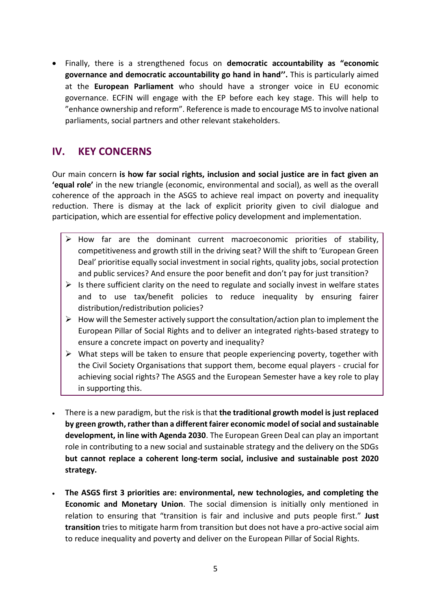• Finally, there is a strengthened focus on **democratic accountability as "economic governance and democratic accountability go hand in hand''.** This is particularly aimed at the **European Parliament** who should have a stronger voice in EU economic governance. ECFIN will engage with the EP before each key stage. This will help to "enhance ownership and reform". Reference is made to encourage MS to involve national parliaments, social partners and other relevant stakeholders.

### **IV. KEY CONCERNS**

Our main concern **is how far social rights, inclusion and social justice are in fact given an 'equal role'** in the new triangle (economic, environmental and social), as well as the overall coherence of the approach in the ASGS to achieve real impact on poverty and inequality reduction. There is dismay at the lack of explicit priority given to civil dialogue and participation, which are essential for effective policy development and implementation.

- How far are the dominant current macroeconomic priorities of stability, competitiveness and growth still in the driving seat? Will the shift to 'European Green Deal' prioritise equally social investment in social rights, quality jobs, social protection and public services? And ensure the poor benefit and don't pay for just transition?
- $\triangleright$  Is there sufficient clarity on the need to regulate and socially invest in welfare states and to use tax/benefit policies to reduce inequality by ensuring fairer distribution/redistribution policies?
- $\triangleright$  How will the Semester actively support the consultation/action plan to implement the European Pillar of Social Rights and to deliver an integrated rights-based strategy to ensure a concrete impact on poverty and inequality?
- $\triangleright$  What steps will be taken to ensure that people experiencing poverty, together with the Civil Society Organisations that support them, become equal players - crucial for achieving social rights? The ASGS and the European Semester have a key role to play in supporting this.
- There is a new paradigm, but the risk is that **the traditional growth model is just replaced by green growth, rather than a different fairer economic model of social and sustainable development, in line with Agenda 2030**. The European Green Deal can play an important role in contributing to a new social and sustainable strategy and the delivery on the SDGs **but cannot replace a coherent long-term social, inclusive and sustainable post 2020 strategy.**
- **The ASGS first 3 priorities are: environmental, new technologies, and completing the Economic and Monetary Union**. The social dimension is initially only mentioned in relation to ensuring that "transition is fair and inclusive and puts people first." **Just transition** tries to mitigate harm from transition but does not have a pro-active social aim to reduce inequality and poverty and deliver on the European Pillar of Social Rights.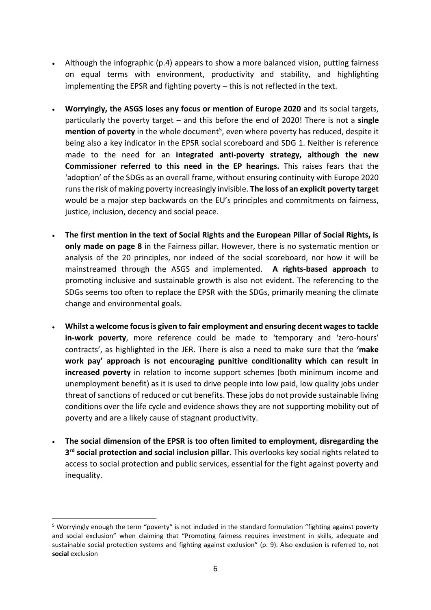- Although the infographic (p.4) appears to show a more balanced vision, putting fairness on equal terms with environment, productivity and stability, and highlighting implementing the EPSR and fighting poverty – this is not reflected in the text.
- **Worryingly, the ASGS loses any focus or mention of Europe 2020** and its social targets, particularly the poverty target – and this before the end of 2020! There is not a **single**  mention of poverty in the whole document<sup>5</sup>, even where poverty has reduced, despite it being also a key indicator in the EPSR social scoreboard and SDG 1. Neither is reference made to the need for an **integrated anti-poverty strategy, although the new Commissioner referred to this need in the EP hearings.** This raises fears that the 'adoption' of the SDGs as an overall frame, without ensuring continuity with Europe 2020 runs the risk of making poverty increasingly invisible. **The loss of an explicit poverty target** would be a major step backwards on the EU's principles and commitments on fairness, justice, inclusion, decency and social peace.
- **The first mention in the text of Social Rights and the European Pillar of Social Rights, is only made on page 8** in the Fairness pillar. However, there is no systematic mention or analysis of the 20 principles, nor indeed of the social scoreboard, nor how it will be mainstreamed through the ASGS and implemented. **A rights-based approach** to promoting inclusive and sustainable growth is also not evident. The referencing to the SDGs seems too often to replace the EPSR with the SDGs, primarily meaning the climate change and environmental goals.
- **Whilst a welcome focus is given to fair employment and ensuring decent wages to tackle in-work poverty**, more reference could be made to 'temporary and 'zero-hours' contracts', as highlighted in the JER. There is also a need to make sure that the **'make work pay' approach is not encouraging punitive conditionality which can result in increased poverty** in relation to income support schemes (both minimum income and unemployment benefit) as it is used to drive people into low paid, low quality jobs under threat of sanctions of reduced or cut benefits. These jobs do not provide sustainable living conditions over the life cycle and evidence shows they are not supporting mobility out of poverty and are a likely cause of stagnant productivity.
- **The social dimension of the EPSR is too often limited to employment, disregarding the 3 rd social protection and social inclusion pillar.** This overlooks key social rights related to access to social protection and public services, essential for the fight against poverty and inequality.

<sup>5</sup> Worryingly enough the term "poverty" is not included in the standard formulation "fighting against poverty and social exclusion" when claiming that "Promoting fairness requires investment in skills, adequate and sustainable social protection systems and fighting against exclusion" (p. 9). Also exclusion is referred to, not **social** exclusion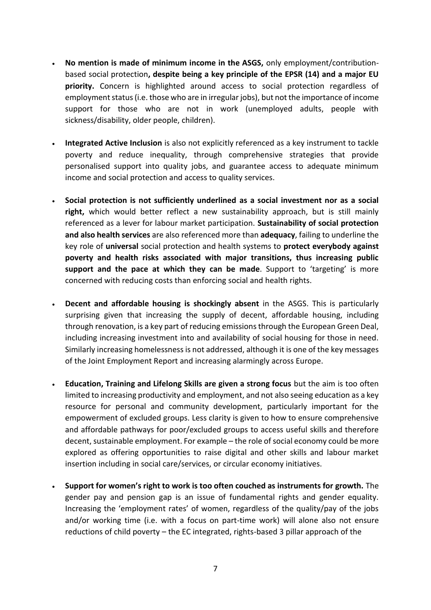- **No mention is made of minimum income in the ASGS,** only employment/contributionbased social protection**, despite being a key principle of the EPSR (14) and a major EU priority.** Concern is highlighted around access to social protection regardless of employment status (i.e. those who are in irregular jobs), but not the importance of income support for those who are not in work (unemployed adults, people with sickness/disability, older people, children).
- **Integrated Active Inclusion** is also not explicitly referenced as a key instrument to tackle poverty and reduce inequality, through comprehensive strategies that provide personalised support into quality jobs, and guarantee access to adequate minimum income and social protection and access to quality services.
- **Social protection is not sufficiently underlined as a social investment nor as a social right,** which would better reflect a new sustainability approach, but is still mainly referenced as a lever for labour market participation. **Sustainability of social protection and also health services** are also referenced more than **adequacy**, failing to underline the key role of **universal** social protection and health systems to **protect everybody against poverty and health risks associated with major transitions, thus increasing public support and the pace at which they can be made**. Support to 'targeting' is more concerned with reducing costs than enforcing social and health rights.
- **Decent and affordable housing is shockingly absent** in the ASGS. This is particularly surprising given that increasing the supply of decent, affordable housing, including through renovation, is a key part of reducing emissions through the European Green Deal, including increasing investment into and availability of social housing for those in need. Similarly increasing homelessness is not addressed, although it is one of the key messages of the Joint Employment Report and increasing alarmingly across Europe.
- **Education, Training and Lifelong Skills are given a strong focus** but the aim is too often limited to increasing productivity and employment, and not also seeing education as a key resource for personal and community development, particularly important for the empowerment of excluded groups. Less clarity is given to how to ensure comprehensive and affordable pathways for poor/excluded groups to access useful skills and therefore decent, sustainable employment. For example – the role of social economy could be more explored as offering opportunities to raise digital and other skills and labour market insertion including in social care/services, or circular economy initiatives.
- **Support for women's right to work is too often couched as instruments for growth.** The gender pay and pension gap is an issue of fundamental rights and gender equality. Increasing the 'employment rates' of women, regardless of the quality/pay of the jobs and/or working time (i.e. with a focus on part-time work) will alone also not ensure reductions of child poverty – the EC integrated, rights-based 3 pillar approach of the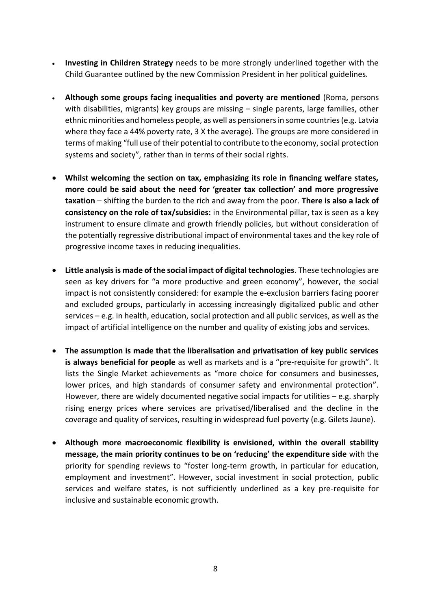- **Investing in Children Strategy** needs to be more strongly underlined together with the Child Guarantee outlined by the new Commission President in her political guidelines.
- **Although some groups facing inequalities and poverty are mentioned** (Roma, persons with disabilities, migrants) key groups are missing – single parents, large families, other ethnic minorities and homeless people, as well as pensioners in some countries (e.g. Latvia where they face a 44% poverty rate, 3 X the average). The groups are more considered in terms of making "full use of their potential to contribute to the economy, social protection systems and society", rather than in terms of their social rights.
- **Whilst welcoming the section on tax, emphasizing its role in financing welfare states, more could be said about the need for 'greater tax collection' and more progressive taxation** – shifting the burden to the rich and away from the poor. **There is also a lack of consistency on the role of tax/subsidies:** in the Environmental pillar, tax is seen as a key instrument to ensure climate and growth friendly policies, but without consideration of the potentially regressive distributional impact of environmental taxes and the key role of progressive income taxes in reducing inequalities.
- **Little analysis is made of the social impact of digital technologies**. These technologies are seen as key drivers for "a more productive and green economy", however, the social impact is not consistently considered: for example the e-exclusion barriers facing poorer and excluded groups, particularly in accessing increasingly digitalized public and other services – e.g. in health, education, social protection and all public services, as well as the impact of artificial intelligence on the number and quality of existing jobs and services.
- **The assumption is made that the liberalisation and privatisation of key public services is always beneficial for people** as well as markets and is a "pre-requisite for growth". It lists the Single Market achievements as "more choice for consumers and businesses, lower prices, and high standards of consumer safety and environmental protection". However, there are widely documented negative social impacts for utilities – e.g. sharply rising energy prices where services are privatised/liberalised and the decline in the coverage and quality of services, resulting in widespread fuel poverty (e.g. Gilets Jaune).
- **Although more macroeconomic flexibility is envisioned, within the overall stability message, the main priority continues to be on 'reducing' the expenditure side** with the priority for spending reviews to "foster long-term growth, in particular for education, employment and investment". However, social investment in social protection, public services and welfare states, is not sufficiently underlined as a key pre-requisite for inclusive and sustainable economic growth.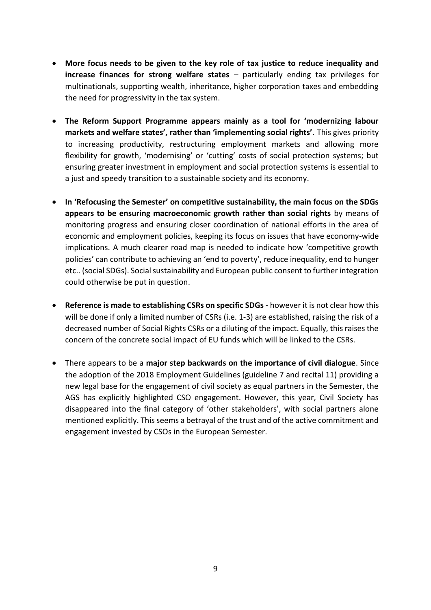- **More focus needs to be given to the key role of tax justice to reduce inequality and increase finances for strong welfare states** – particularly ending tax privileges for multinationals, supporting wealth, inheritance, higher corporation taxes and embedding the need for progressivity in the tax system.
- **The Reform Support Programme appears mainly as a tool for 'modernizing labour markets and welfare states', rather than 'implementing social rights'.** This gives priority to increasing productivity, restructuring employment markets and allowing more flexibility for growth, 'modernising' or 'cutting' costs of social protection systems; but ensuring greater investment in employment and social protection systems is essential to a just and speedy transition to a sustainable society and its economy.
- **In 'Refocusing the Semester' on competitive sustainability, the main focus on the SDGs appears to be ensuring macroeconomic growth rather than social rights** by means of monitoring progress and ensuring closer coordination of national efforts in the area of economic and employment policies, keeping its focus on issues that have economy-wide implications. A much clearer road map is needed to indicate how 'competitive growth policies' can contribute to achieving an 'end to poverty', reduce inequality, end to hunger etc.. (social SDGs). Social sustainability and European public consent to further integration could otherwise be put in question.
- **Reference is made to establishing CSRs on specific SDGs -** however it is not clear how this will be done if only a limited number of CSRs (i.e. 1-3) are established, raising the risk of a decreased number of Social Rights CSRs or a diluting of the impact. Equally, this raises the concern of the concrete social impact of EU funds which will be linked to the CSRs.
- There appears to be a **major step backwards on the importance of civil dialogue**. Since the adoption of the 2018 Employment Guidelines (guideline 7 and recital 11) providing a new legal base for the engagement of civil society as equal partners in the Semester, the AGS has explicitly highlighted CSO engagement. However, this year, Civil Society has disappeared into the final category of 'other stakeholders', with social partners alone mentioned explicitly. This seems a betrayal of the trust and of the active commitment and engagement invested by CSOs in the European Semester.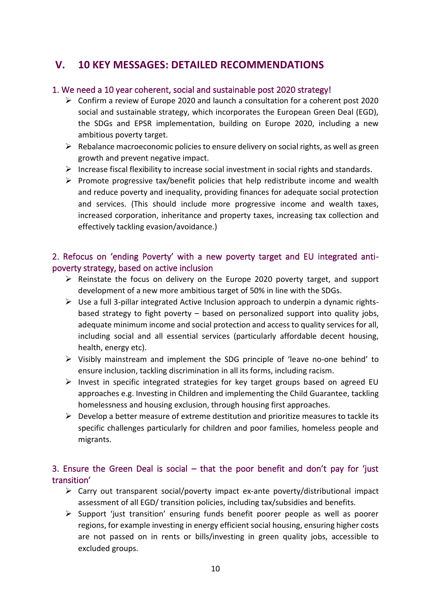### **V. 10 KEY MESSAGES: DETAILED RECOMMENDATIONS**

#### 1. We need a 10 year coherent, social and sustainable post 2020 strategy!

- $\triangleright$  Confirm a review of Europe 2020 and launch a consultation for a coherent post 2020 social and sustainable strategy, which incorporates the European Green Deal (EGD), the SDGs and EPSR implementation, building on Europe 2020, including a new ambitious poverty target.
- $\triangleright$  Rebalance macroeconomic policies to ensure delivery on social rights, as well as green growth and prevent negative impact.
- ➢ Increase fiscal flexibility to increase social investment in social rights and standards.
- $\triangleright$  Promote progressive tax/benefit policies that help redistribute income and wealth and reduce poverty and inequality, providing finances for adequate social protection and services. (This should include more progressive income and wealth taxes, increased corporation, inheritance and property taxes, increasing tax collection and effectively tackling evasion/avoidance.)

#### 2. Refocus on 'ending Poverty' with a new poverty target and EU integrated antipoverty strategy, based on active inclusion

- ➢ Reinstate the focus on delivery on the Europe 2020 poverty target, and support development of a new more ambitious target of 50% in line with the SDGs.
- ➢ Use a full 3-pillar integrated Active Inclusion approach to underpin a dynamic rightsbased strategy to fight poverty – based on personalized support into quality jobs, adequate minimum income and social protection and access to quality services for all, including social and all essential services (particularly affordable decent housing, health, energy etc).
- ➢ Visibly mainstream and implement the SDG principle of 'leave no-one behind' to ensure inclusion, tackling discrimination in all its forms, including racism.
- $\triangleright$  Invest in specific integrated strategies for key target groups based on agreed EU approaches e.g. Investing in Children and implementing the Child Guarantee, tackling homelessness and housing exclusion, through housing first approaches.
- $\triangleright$  Develop a better measure of extreme destitution and prioritize measures to tackle its specific challenges particularly for children and poor families, homeless people and migrants.

#### 3. Ensure the Green Deal is social – that the poor benefit and don't pay for 'just transition'

- ➢ Carry out transparent social/poverty impact ex-ante poverty/distributional impact assessment of all EGD/ transition policies, including tax/subsidies and benefits.
- ➢ Support 'just transition' ensuring funds benefit poorer people as well as poorer regions, for example investing in energy efficient social housing, ensuring higher costs are not passed on in rents or bills/investing in green quality jobs, accessible to excluded groups.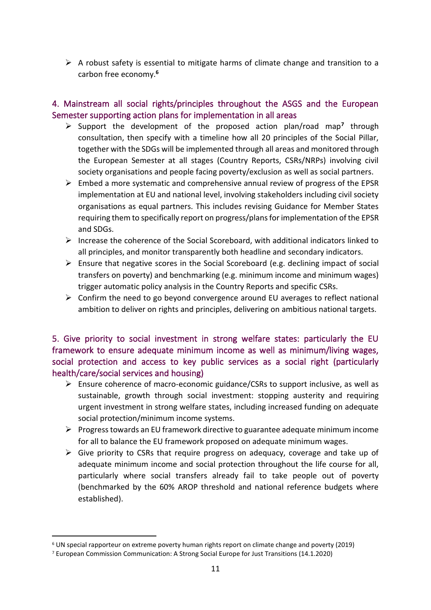$\triangleright$  A robust safety is essential to mitigate harms of climate change and transition to a carbon free economy.**<sup>6</sup>**

#### 4. Mainstream all social rights/principles throughout the ASGS and the European Semester supporting action plans for implementation in all areas

- ➢ Support the development of the proposed action plan/road map**<sup>7</sup>** through consultation, then specify with a timeline how all 20 principles of the Social Pillar, together with the SDGs will be implemented through all areas and monitored through the European Semester at all stages (Country Reports, CSRs/NRPs) involving civil society organisations and people facing poverty/exclusion as well as social partners.
- $\triangleright$  Embed a more systematic and comprehensive annual review of progress of the EPSR implementation at EU and national level, involving stakeholders including civil society organisations as equal partners. This includes revising Guidance for Member States requiring them to specifically report on progress/plans for implementation of the EPSR and SDGs.
- ➢ Increase the coherence of the Social Scoreboard, with additional indicators linked to all principles, and monitor transparently both headline and secondary indicators.
- ➢ Ensure that negative scores in the Social Scoreboard (e.g. declining impact of social transfers on poverty) and benchmarking (e.g. minimum income and minimum wages) trigger automatic policy analysis in the Country Reports and specific CSRs.
- ➢ Confirm the need to go beyond convergence around EU averages to reflect national ambition to deliver on rights and principles, delivering on ambitious national targets.

5. Give priority to social investment in strong welfare states: particularly the EU framework to ensure adequate minimum income as well as minimum/living wages, social protection and access to key public services as a social right (particularly health/care/social services and housing)

- ➢ Ensure coherence of macro-economic guidance/CSRs to support inclusive, as well as sustainable, growth through social investment: stopping austerity and requiring urgent investment in strong welfare states, including increased funding on adequate social protection/minimum income systems.
- $\triangleright$  Progress towards an EU framework directive to guarantee adequate minimum income for all to balance the EU framework proposed on adequate minimum wages.
- $\triangleright$  Give priority to CSRs that require progress on adequacy, coverage and take up of adequate minimum income and social protection throughout the life course for all, particularly where social transfers already fail to take people out of poverty (benchmarked by the 60% AROP threshold and national reference budgets where established).

<sup>6</sup> UN special rapporteur on extreme poverty human rights report on climate change and poverty (2019)

<sup>7</sup> European Commission Communication: A Strong Social Europe for Just Transitions (14.1.2020)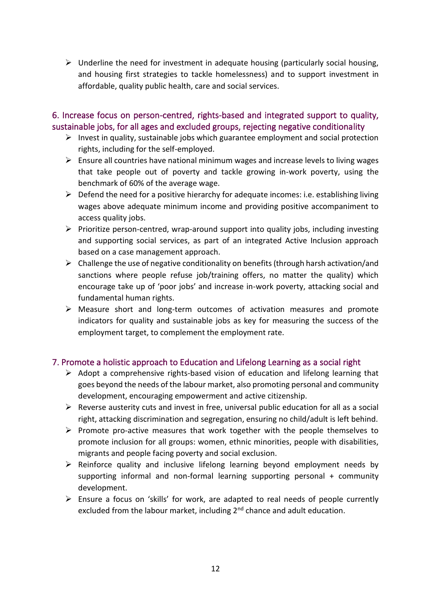$\triangleright$  Underline the need for investment in adequate housing (particularly social housing, and housing first strategies to tackle homelessness) and to support investment in affordable, quality public health, care and social services.

#### 6. Increase focus on person-centred, rights-based and integrated support to quality, sustainable jobs, for all ages and excluded groups, rejecting negative conditionality

- $\triangleright$  Invest in quality, sustainable jobs which guarantee employment and social protection rights, including for the self-employed.
- $\triangleright$  Ensure all countries have national minimum wages and increase levels to living wages that take people out of poverty and tackle growing in-work poverty, using the benchmark of 60% of the average wage.
- $\triangleright$  Defend the need for a positive hierarchy for adequate incomes: i.e. establishing living wages above adequate minimum income and providing positive accompaniment to access quality jobs.
- $\triangleright$  Prioritize person-centred, wrap-around support into quality jobs, including investing and supporting social services, as part of an integrated Active Inclusion approach based on a case management approach.
- $\triangleright$  Challenge the use of negative conditionality on benefits (through harsh activation/and sanctions where people refuse job/training offers, no matter the quality) which encourage take up of 'poor jobs' and increase in-work poverty, attacking social and fundamental human rights.
- ➢ Measure short and long-term outcomes of activation measures and promote indicators for quality and sustainable jobs as key for measuring the success of the employment target, to complement the employment rate.

#### 7. Promote a holistic approach to Education and Lifelong Learning as a social right

- ➢ Adopt a comprehensive rights-based vision of education and lifelong learning that goes beyond the needs of the labour market, also promoting personal and community development, encouraging empowerment and active citizenship.
- $\triangleright$  Reverse austerity cuts and invest in free, universal public education for all as a social right, attacking discrimination and segregation, ensuring no child/adult is left behind.
- $\triangleright$  Promote pro-active measures that work together with the people themselves to promote inclusion for all groups: women, ethnic minorities, people with disabilities, migrants and people facing poverty and social exclusion.
- $\triangleright$  Reinforce quality and inclusive lifelong learning beyond employment needs by supporting informal and non-formal learning supporting personal + community development.
- ➢ Ensure a focus on 'skills' for work, are adapted to real needs of people currently excluded from the labour market, including 2<sup>nd</sup> chance and adult education.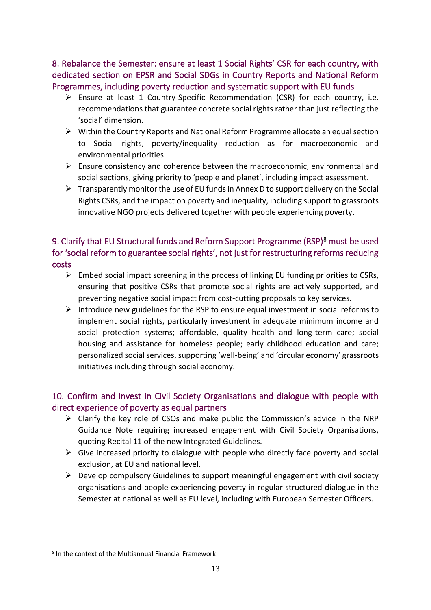8. Rebalance the Semester: ensure at least 1 Social Rights' CSR for each country, with dedicated section on EPSR and Social SDGs in Country Reports and National Reform Programmes, including poverty reduction and systematic support with EU funds

- ➢ Ensure at least 1 Country-Specific Recommendation (CSR) for each country, i.e. recommendations that guarantee concrete social rights rather than just reflecting the 'social' dimension.
- $\triangleright$  Within the Country Reports and National Reform Programme allocate an equal section to Social rights, poverty/inequality reduction as for macroeconomic and environmental priorities.
- $\triangleright$  Ensure consistency and coherence between the macroeconomic, environmental and social sections, giving priority to 'people and planet', including impact assessment.
- $\triangleright$  Transparently monitor the use of EU funds in Annex D to support delivery on the Social Rights CSRs, and the impact on poverty and inequality, including support to grassroots innovative NGO projects delivered together with people experiencing poverty.

#### 9. Clarify that EU Structural funds and Reform Support Programme (RSP)<sup>8</sup> must be used for 'social reform to guarantee social rights', not just for restructuring reforms reducing costs

- ➢ Embed social impact screening in the process of linking EU funding priorities to CSRs, ensuring that positive CSRs that promote social rights are actively supported, and preventing negative social impact from cost-cutting proposals to key services.
- ➢ Introduce new guidelines for the RSP to ensure equal investment in social reforms to implement social rights, particularly investment in adequate minimum income and social protection systems; affordable, quality health and long-term care; social housing and assistance for homeless people; early childhood education and care; personalized social services, supporting 'well-being' and 'circular economy' grassroots initiatives including through social economy.

#### 10. Confirm and invest in Civil Society Organisations and dialogue with people with direct experience of poverty as equal partners

- ➢ Clarify the key role of CSOs and make public the Commission's advice in the NRP Guidance Note requiring increased engagement with Civil Society Organisations, quoting Recital 11 of the new Integrated Guidelines.
- $\triangleright$  Give increased priority to dialogue with people who directly face poverty and social exclusion, at EU and national level.
- $\triangleright$  Develop compulsory Guidelines to support meaningful engagement with civil society organisations and people experiencing poverty in regular structured dialogue in the Semester at national as well as EU level, including with European Semester Officers.

<sup>8</sup> In the context of the Multiannual Financial Framework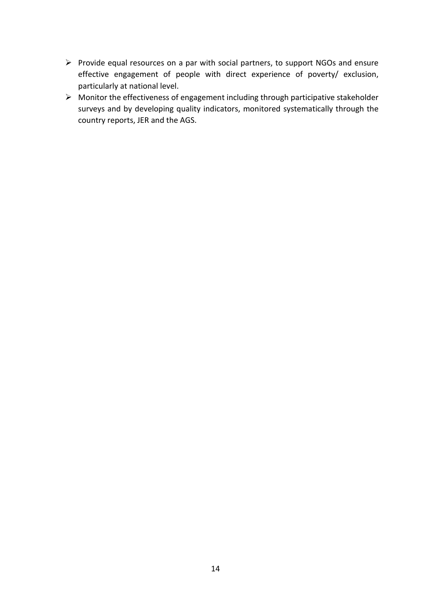- ➢ Provide equal resources on a par with social partners, to support NGOs and ensure effective engagement of people with direct experience of poverty/ exclusion, particularly at national level.
- ➢ Monitor the effectiveness of engagement including through participative stakeholder surveys and by developing quality indicators, monitored systematically through the country reports, JER and the AGS.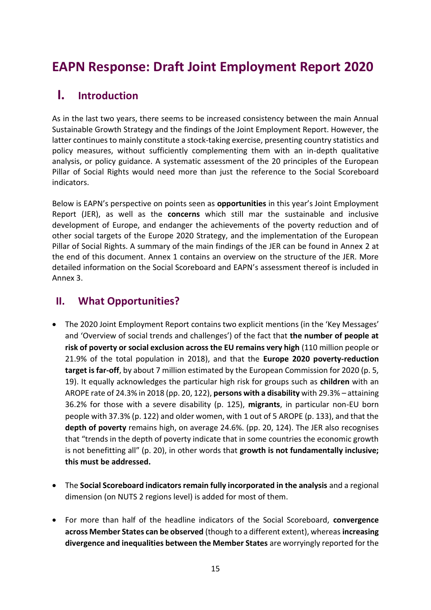## **EAPN Response: Draft Joint Employment Report 2020**

### **I. Introduction**

As in the last two years, there seems to be increased consistency between the main Annual Sustainable Growth Strategy and the findings of the Joint Employment Report. However, the latter continues to mainly constitute a stock-taking exercise, presenting country statistics and policy measures, without sufficiently complementing them with an in-depth qualitative analysis, or policy guidance. A systematic assessment of the 20 principles of the European Pillar of Social Rights would need more than just the reference to the Social Scoreboard indicators.

Below is EAPN's perspective on points seen as **opportunities** in this year's Joint Employment Report (JER), as well as the **concerns** which still mar the sustainable and inclusive development of Europe, and endanger the achievements of the poverty reduction and of other social targets of the Europe 2020 Strategy, and the implementation of the European Pillar of Social Rights. A summary of the main findings of the JER can be found in Annex 2 at the end of this document. Annex 1 contains an overview on the structure of the JER. More detailed information on the Social Scoreboard and EAPN's assessment thereof is included in Annex 3.

### **II. What Opportunities?**

- The 2020 Joint Employment Report contains two explicit mentions (in the 'Key Messages' and 'Overview of social trends and challenges') of the fact that **the number of people at risk of poverty or social exclusion across the EU remains very high** (110 million people or 21.9% of the total population in 2018), and that the **Europe 2020 poverty-reduction target is far-off**, by about 7 million estimated by the European Commission for 2020 (p. 5, 19). It equally acknowledges the particular high risk for groups such as **children** with an AROPE rate of 24.3% in 2018 (pp. 20, 122), **persons with a disability** with 29.3% *–* attaining 36.2% for those with a severe disability (p. 125), **migrants**, in particular non-EU born people with 37.3% (p. 122) and older women, with 1 out of 5 AROPE (p. 133), and that the **depth of poverty** remains high, on average 24.6%. (pp. 20, 124). The JER also recognises that "trends in the depth of poverty indicate that in some countries the economic growth is not benefitting all" (p. 20), in other words that **growth is not fundamentally inclusive; this must be addressed.**
- The **Social Scoreboard indicators remain fully incorporated in the analysis** and a regional dimension (on NUTS 2 regions level) is added for most of them.
- For more than half of the headline indicators of the Social Scoreboard, **convergence across Member States can be observed** (though to a different extent), whereas **increasing divergence and inequalities between the Member States** are worryingly reported for the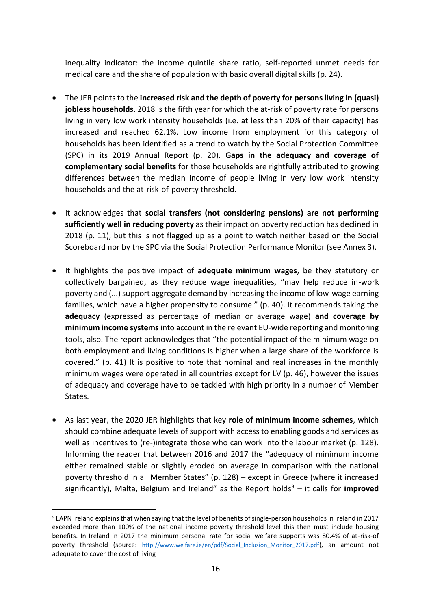inequality indicator: the income quintile share ratio, self-reported unmet needs for medical care and the share of population with basic overall digital skills (p. 24).

- The JER points to the **increased risk and the depth of poverty for persons living in (quasi) jobless households**. 2018 is the fifth year for which the at-risk of poverty rate for persons living in very low work intensity households (i.e. at less than 20% of their capacity) has increased and reached 62.1%. Low income from employment for this category of households has been identified as a trend to watch by the Social Protection Committee (SPC) in its 2019 Annual Report (p. 20). **Gaps in the adequacy and coverage of complementary social benefits** for those households are rightfully attributed to growing differences between the median income of people living in very low work intensity households and the at-risk-of-poverty threshold.
- It acknowledges that **social transfers (not considering pensions) are not performing sufficiently well in reducing poverty** as their impact on poverty reduction has declined in 2018 (p. 11), but this is not flagged up as a point to watch neither based on the Social Scoreboard nor by the SPC via the Social Protection Performance Monitor (see Annex 3).
- It highlights the positive impact of **adequate minimum wages**, be they statutory or collectively bargained, as they reduce wage inequalities, "may help reduce in-work poverty and (...) support aggregate demand by increasing the income of low-wage earning families, which have a higher propensity to consume." (p. 40). It recommends taking the **adequacy** (expressed as percentage of median or average wage) **and coverage by minimum income systems** into account in the relevant EU-wide reporting and monitoring tools, also. The report acknowledges that "the potential impact of the minimum wage on both employment and living conditions is higher when a large share of the workforce is covered." (p. 41) It is positive to note that nominal and real increases in the monthly minimum wages were operated in all countries except for LV (p. 46), however the issues of adequacy and coverage have to be tackled with high priority in a number of Member States.
- As last year, the 2020 JER highlights that key **role of minimum income schemes**, which should combine adequate levels of support with access to enabling goods and services as well as incentives to (re-)integrate those who can work into the labour market (p. 128). Informing the reader that between 2016 and 2017 the "adequacy of minimum income either remained stable or slightly eroded on average in comparison with the national poverty threshold in all Member States" (p. 128) – except in Greece (where it increased significantly), Malta, Belgium and Ireland" as the Report holds<sup>9</sup> – it calls for **improved**

<sup>9</sup> EAPN Ireland explains that when saying that the level of benefits of single-person households in Ireland in 2017 exceeded more than 100% of the national income poverty threshold level this then must include housing benefits. In Ireland in 2017 the minimum personal rate for social welfare supports was 80.4% of at-risk-of poverty threshold (source: http://www.welfare.ie/en/pdf/Social Inclusion Monitor 2017.pdf), an amount not adequate to cover the cost of living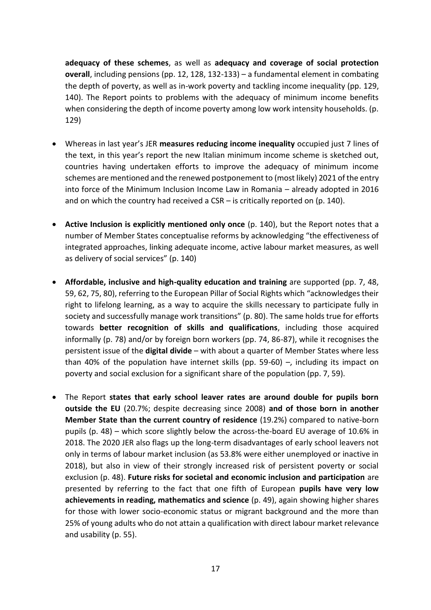**adequacy of these schemes**, as well as **adequacy and coverage of social protection overall**, including pensions (pp. 12, 128, 132-133) – a fundamental element in combating the depth of poverty, as well as in-work poverty and tackling income inequality (pp. 129, 140). The Report points to problems with the adequacy of minimum income benefits when considering the depth of income poverty among low work intensity households. (p. 129)

- Whereas in last year's JER **measures reducing income inequality** occupied just 7 lines of the text, in this year's report the new Italian minimum income scheme is sketched out, countries having undertaken efforts to improve the adequacy of minimum income schemes are mentioned and the renewed postponement to (most likely) 2021 of the entry into force of the Minimum Inclusion Income Law in Romania – already adopted in 2016 and on which the country had received a CSR – is critically reported on (p. 140).
- **Active Inclusion is explicitly mentioned only once** (p. 140), but the Report notes that a number of Member States conceptualise reforms by acknowledging "the effectiveness of integrated approaches, linking adequate income, active labour market measures, as well as delivery of social services" (p. 140)
- **Affordable, inclusive and high-quality education and training** are supported (pp. 7, 48, 59, 62, 75, 80), referring to the European Pillar of Social Rights which "acknowledges their right to lifelong learning, as a way to acquire the skills necessary to participate fully in society and successfully manage work transitions" (p. 80). The same holds true for efforts towards **better recognition of skills and qualifications**, including those acquired informally (p. 78) and/or by foreign born workers (pp. 74, 86-87), while it recognises the persistent issue of the **digital divide** – with about a quarter of Member States where less than 40% of the population have internet skills (pp. 59-60)  $-$ , including its impact on poverty and social exclusion for a significant share of the population (pp. 7, 59).
- The Report **states that early school leaver rates are around double for pupils born outside the EU** (20.7%; despite decreasing since 2008) **and of those born in another Member State than the current country of residence** (19.2%) compared to native-born pupils (p. 48) – which score slightly below the across-the-board EU average of 10.6% in 2018. The 2020 JER also flags up the long-term disadvantages of early school leavers not only in terms of labour market inclusion (as 53.8% were either unemployed or inactive in 2018), but also in view of their strongly increased risk of persistent poverty or social exclusion (p. 48). **Future risks for societal and economic inclusion and participation** are presented by referring to the fact that one fifth of European **pupils have very low achievements in reading, mathematics and science** (p. 49), again showing higher shares for those with lower socio-economic status or migrant background and the more than 25% of young adults who do not attain a qualification with direct labour market relevance and usability (p. 55).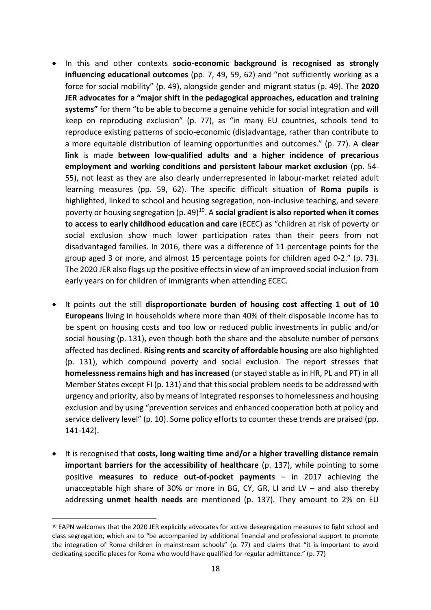- In this and other contexts **socio-economic background is recognised as strongly influencing educational outcomes** (pp. 7, 49, 59, 62) and "not sufficiently working as a force for social mobility" (p. 49), alongside gender and migrant status (p. 49). The **2020 JER advocates for a "major shift in the pedagogical approaches, education and training systems"** for them "to be able to become a genuine vehicle for social integration and will keep on reproducing exclusion" (p. 77), as "in many EU countries, schools tend to reproduce existing patterns of socio-economic (dis)advantage, rather than contribute to a more equitable distribution of learning opportunities and outcomes." (p. 77). A **clear link** is made **between low-qualified adults and a higher incidence of precarious employment and working conditions and persistent labour market exclusion** (pp. 54- 55), not least as they are also clearly underrepresented in labour-market related adult learning measures (pp. 59, 62). The specific difficult situation of **Roma pupils** is highlighted, linked to school and housing segregation, non-inclusive teaching, and severe poverty or housing segregation (p. 49)<sup>10</sup>. A **social gradient is also reported when it comes to access to early childhood education and care** (ECEC) as "children at risk of poverty or social exclusion show much lower participation rates than their peers from not disadvantaged families. In 2016, there was a difference of 11 percentage points for the group aged 3 or more, and almost 15 percentage points for children aged 0-2." (p. 73). The 2020 JER also flags up the positive effects in view of an improved social inclusion from early years on for children of immigrants when attending ECEC.
- It points out the still **disproportionate burden of housing cost affecting 1 out of 10 Europeans** living in households where more than 40% of their disposable income has to be spent on housing costs and too low or reduced public investments in public and/or social housing (p. 131), even though both the share and the absolute number of persons affected has declined. **Rising rents and scarcity of affordable housing** are also highlighted (p. 131), which compound poverty and social exclusion. The report stresses that **homelessness remains high and has increased** (or stayed stable as in HR, PL and PT) in all Member States except FI (p. 131) and that this social problem needs to be addressed with urgency and priority, also by means of integrated responses to homelessness and housing exclusion and by using "prevention services and enhanced cooperation both at policy and service delivery level" (p. 10). Some policy efforts to counter these trends are praised (pp. 141-142).
- It is recognised that **costs, long waiting time and/or a higher travelling distance remain important barriers for the accessibility of healthcare** (p. 137), while pointing to some positive **measures to reduce out-of-pocket payments** – in 2017 achieving the unacceptable high share of 30% or more in BG, CY, GR, LI and LV – and also thereby addressing **unmet health needs** are mentioned (p. 137). They amount to 2% on EU

<sup>10</sup> EAPN welcomes that the 2020 JER explicitly advocates for active desegregation measures to fight school and class segregation, which are to "be accompanied by additional financial and professional support to promote the integration of Roma children in mainstream schools" (p. 77) and claims that "it is important to avoid dedicating specific places for Roma who would have qualified for regular admittance." (p. 77)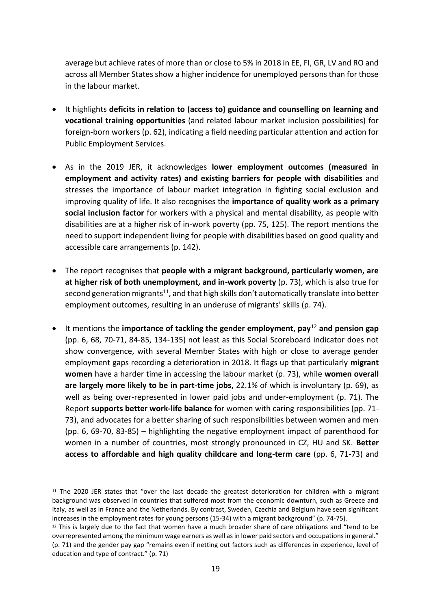average but achieve rates of more than or close to 5% in 2018 in EE, FI, GR, LV and RO and across all Member States show a higher incidence for unemployed persons than for those in the labour market.

- It highlights **deficits in relation to (access to) guidance and counselling on learning and vocational training opportunities** (and related labour market inclusion possibilities) for foreign-born workers (p. 62), indicating a field needing particular attention and action for Public Employment Services.
- As in the 2019 JER, it acknowledges **lower employment outcomes (measured in employment and activity rates) and existing barriers for people with disabilities** and stresses the importance of labour market integration in fighting social exclusion and improving quality of life. It also recognises the **importance of quality work as a primary social inclusion factor** for workers with a physical and mental disability, as people with disabilities are at a higher risk of in-work poverty (pp. 75, 125). The report mentions the need to support independent living for people with disabilities based on good quality and accessible care arrangements (p. 142).
- The report recognises that **people with a migrant background, particularly women, are at higher risk of both unemployment, and in-work poverty** (p. 73), which is also true for second generation migrants<sup>11</sup>, and that high skills don't automatically translate into better employment outcomes, resulting in an underuse of migrants' skills (p. 74).
- It mentions the **importance of tackling the gender employment, pay**<sup>12</sup> **and pension gap** (pp. 6, 68, 70-71, 84-85, 134-135) not least as this Social Scoreboard indicator does not show convergence, with several Member States with high or close to average gender employment gaps recording a deterioration in 2018. It flags up that particularly **migrant women** have a harder time in accessing the labour market (p. 73), while **women overall are largely more likely to be in part-time jobs,** 22.1% of which is involuntary (p. 69), as well as being over-represented in lower paid jobs and under-employment (p. 71). The Report **supports better work-life balance** for women with caring responsibilities (pp. 71- 73), and advocates for a better sharing of such responsibilities between women and men (pp. 6, 69-70, 83-85) – highlighting the negative employment impact of parenthood for women in a number of countries, most strongly pronounced in CZ, HU and SK. **Better access to affordable and high quality childcare and long-term care** (pp. 6, 71-73) and

<sup>&</sup>lt;sup>11</sup> The 2020 JER states that "over the last decade the greatest deterioration for children with a migrant background was observed in countries that suffered most from the economic downturn, such as Greece and Italy, as well as in France and the Netherlands. By contrast, Sweden, Czechia and Belgium have seen significant increases in the employment rates for young persons (15-34) with a migrant background" (p. 74-75).

 $12$  This is largely due to the fact that women have a much broader share of care obligations and "tend to be overrepresented among the minimum wage earners as well as in lower paid sectors and occupations in general." (p. 71) and the gender pay gap "remains even if netting out factors such as differences in experience, level of education and type of contract." (p. 71)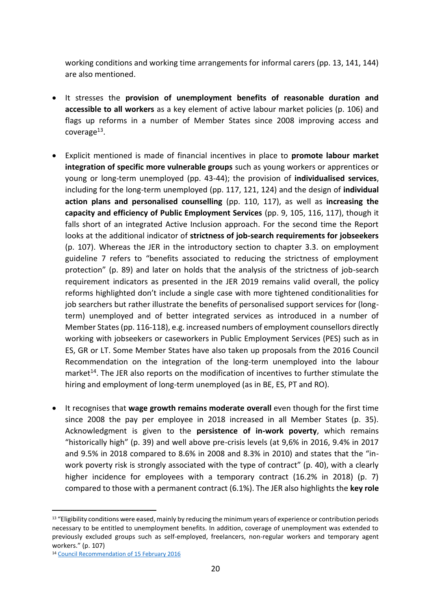working conditions and working time arrangements for informal carers (pp. 13, 141, 144) are also mentioned.

- It stresses the **provision of unemployment benefits of reasonable duration and accessible to all workers** as a key element of active labour market policies (p. 106) and flags up reforms in a number of Member States since 2008 improving access and coverage<sup>13</sup>.
- Explicit mentioned is made of financial incentives in place to **promote labour market integration of specific more vulnerable groups** such as young workers or apprentices or young or long-term unemployed (pp. 43-44); the provision of **individualised services**, including for the long-term unemployed (pp. 117, 121, 124) and the design of **individual action plans and personalised counselling** (pp. 110, 117), as well as **increasing the capacity and efficiency of Public Employment Services** (pp. 9, 105, 116, 117), though it falls short of an integrated Active Inclusion approach. For the second time the Report looks at the additional indicator of **strictness of job-search requirements for jobseekers** (p. 107). Whereas the JER in the introductory section to chapter 3.3. on employment guideline 7 refers to "benefits associated to reducing the strictness of employment protection" (p. 89) and later on holds that the analysis of the strictness of job-search requirement indicators as presented in the JER 2019 remains valid overall, the policy reforms highlighted don't include a single case with more tightened conditionalities for job searchers but rather illustrate the benefits of personalised support services for (longterm) unemployed and of better integrated services as introduced in a number of Member States (pp. 116-118), e.g. increased numbers of employment counsellors directly working with jobseekers or caseworkers in Public Employment Services (PES) such as in ES, GR or LT. Some Member States have also taken up proposals from the 2016 Council Recommendation on the integration of the long-term unemployed into the labour market<sup>14</sup>. The JER also reports on the modification of incentives to further stimulate the hiring and employment of long-term unemployed (as in BE, ES, PT and RO).
- It recognises that **wage growth remains moderate overall** even though for the first time since 2008 the pay per employee in 2018 increased in all Member States (p. 35). Acknowledgment is given to the **persistence of in-work poverty**, which remains "historically high" (p. 39) and well above pre-crisis levels (at 9,6% in 2016, 9.4% in 2017 and 9.5% in 2018 compared to 8.6% in 2008 and 8.3% in 2010) and states that the "inwork poverty risk is strongly associated with the type of contract" (p. 40), with a clearly higher incidence for employees with a temporary contract (16.2% in 2018) (p. 7) compared to those with a permanent contract (6.1%). The JER also highlights the **key role**

<sup>&</sup>lt;sup>13</sup> "Eligibility conditions were eased, mainly by reducing the minimum years of experience or contribution periods necessary to be entitled to unemployment benefits. In addition, coverage of unemployment was extended to previously excluded groups such as self-employed, freelancers, non-regular workers and temporary agent workers." (p. 107)

<sup>14</sup> [Council Recommendation of 15 February 2016](https://eur-lex.europa.eu/legal-content/EN/TXT/?uri=CELEX%3A32016H0220%2801%29)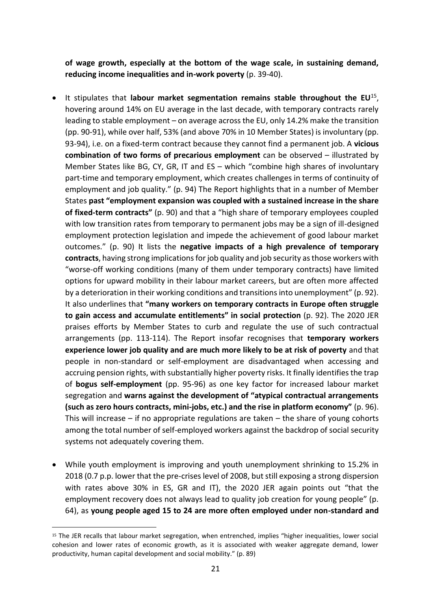**of wage growth, especially at the bottom of the wage scale, in sustaining demand, reducing income inequalities and in-work poverty** (p. 39-40).

- It stipulates that **labour market segmentation remains stable throughout the EU**<sup>15</sup> , hovering around 14% on EU average in the last decade, with temporary contracts rarely leading to stable employment – on average across the EU, only 14.2% make the transition (pp. 90-91), while over half, 53% (and above 70% in 10 Member States) is involuntary (pp. 93-94), i.e. on a fixed-term contract because they cannot find a permanent job. A **vicious combination of two forms of precarious employment** can be observed – illustrated by Member States like BG, CY, GR, IT and ES – which "combine high shares of involuntary part-time and temporary employment, which creates challenges in terms of continuity of employment and job quality." (p. 94) The Report highlights that in a number of Member States **past "employment expansion was coupled with a sustained increase in the share of fixed-term contracts"** (p. 90) and that a "high share of temporary employees coupled with low transition rates from temporary to permanent jobs may be a sign of ill-designed employment protection legislation and impede the achievement of good labour market outcomes." (p. 90) It lists the **negative impacts of a high prevalence of temporary contracts**, having strong implications for job quality and job security as those workers with "worse-off working conditions (many of them under temporary contracts) have limited options for upward mobility in their labour market careers, but are often more affected by a deterioration in their working conditions and transitions into unemployment" (p. 92). It also underlines that **"many workers on temporary contracts in Europe often struggle to gain access and accumulate entitlements" in social protection** (p. 92). The 2020 JER praises efforts by Member States to curb and regulate the use of such contractual arrangements (pp. 113-114). The Report insofar recognises that **temporary workers experience lower job quality and are much more likely to be at risk of poverty** and that people in non-standard or self-employment are disadvantaged when accessing and accruing pension rights, with substantially higher poverty risks. It finally identifies the trap of **bogus self-employment** (pp. 95-96) as one key factor for increased labour market segregation and **warns against the development of "atypical contractual arrangements (such as zero hours contracts, mini-jobs, etc.) and the rise in platform economy"** (p. 96). This will increase – if no appropriate regulations are taken – the share of young cohorts among the total number of self-employed workers against the backdrop of social security systems not adequately covering them.
- While youth employment is improving and youth unemployment shrinking to 15.2% in 2018 (0.7 p.p. lower that the pre-crises level of 2008, but still exposing a strong dispersion with rates above 30% in ES, GR and IT), the 2020 JER again points out "that the employment recovery does not always lead to quality job creation for young people" (p. 64), as **young people aged 15 to 24 are more often employed under non-standard and**

<sup>15</sup> The JER recalls that labour market segregation, when entrenched, implies "higher inequalities, lower social cohesion and lower rates of economic growth, as it is associated with weaker aggregate demand, lower productivity, human capital development and social mobility." (p. 89)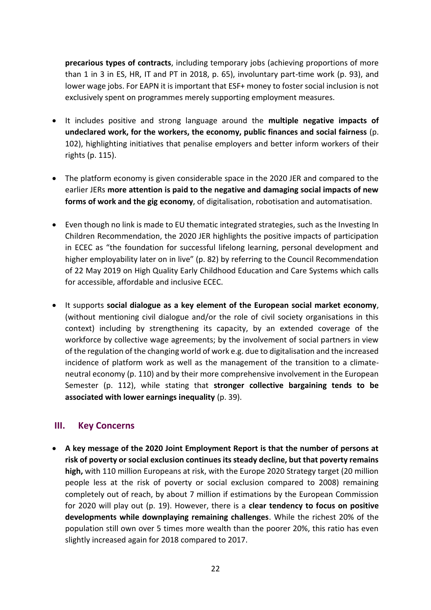**precarious types of contracts**, including temporary jobs (achieving proportions of more than 1 in 3 in ES, HR, IT and PT in 2018, p. 65), involuntary part-time work (p. 93), and lower wage jobs. For EAPN it is important that ESF+ money to foster social inclusion is not exclusively spent on programmes merely supporting employment measures.

- It includes positive and strong language around the **multiple negative impacts of undeclared work, for the workers, the economy, public finances and social fairness** (p. 102), highlighting initiatives that penalise employers and better inform workers of their rights (p. 115).
- The platform economy is given considerable space in the 2020 JER and compared to the earlier JERs **more attention is paid to the negative and damaging social impacts of new forms of work and the gig economy**, of digitalisation, robotisation and automatisation.
- Even though no link is made to EU thematic integrated strategies, such as the Investing In Children Recommendation, the 2020 JER highlights the positive impacts of participation in ECEC as "the foundation for successful lifelong learning, personal development and higher employability later on in live" (p. 82) by referring to the Council Recommendation of 22 May 2019 on High Quality Early Childhood Education and Care Systems which calls for accessible, affordable and inclusive ECEC.
- It supports **social dialogue as a key element of the European social market economy**, (without mentioning civil dialogue and/or the role of civil society organisations in this context) including by strengthening its capacity, by an extended coverage of the workforce by collective wage agreements; by the involvement of social partners in view of the regulation of the changing world of work e.g. due to digitalisation and the increased incidence of platform work as well as the management of the transition to a climateneutral economy (p. 110) and by their more comprehensive involvement in the European Semester (p. 112), while stating that **stronger collective bargaining tends to be associated with lower earnings inequality** (p. 39).

#### **III. Key Concerns**

• **A key message of the 2020 Joint Employment Report is that the number of persons at risk of poverty or social exclusion continues its steady decline, but that poverty remains high,** with 110 million Europeans at risk, with the Europe 2020 Strategy target (20 million people less at the risk of poverty or social exclusion compared to 2008) remaining completely out of reach, by about 7 million if estimations by the European Commission for 2020 will play out (p. 19). However, there is a **clear tendency to focus on positive developments while downplaying remaining challenges**. While the richest 20% of the population still own over 5 times more wealth than the poorer 20%, this ratio has even slightly increased again for 2018 compared to 2017.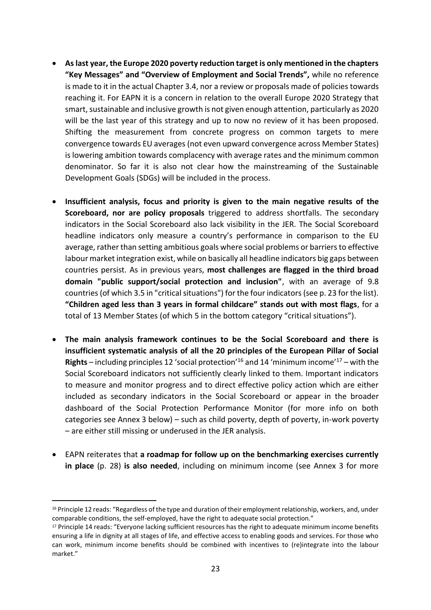- **As last year, the Europe 2020 poverty reduction target is only mentioned in the chapters "Key Messages" and "Overview of Employment and Social Trends",** while no reference is made to it in the actual Chapter 3.4, nor a review or proposals made of policies towards reaching it. For EAPN it is a concern in relation to the overall Europe 2020 Strategy that smart, sustainable and inclusive growth is not given enough attention, particularly as 2020 will be the last year of this strategy and up to now no review of it has been proposed. Shifting the measurement from concrete progress on common targets to mere convergence towards EU averages (not even upward convergence across Member States) is lowering ambition towards complacency with average rates and the minimum common denominator. So far it is also not clear how the mainstreaming of the Sustainable Development Goals (SDGs) will be included in the process.
- **Insufficient analysis, focus and priority is given to the main negative results of the Scoreboard, nor are policy proposals** triggered to address shortfalls. The secondary indicators in the Social Scoreboard also lack visibility in the JER. The Social Scoreboard headline indicators only measure a country's performance in comparison to the EU average, rather than setting ambitious goals where social problems or barriers to effective labour market integration exist, while on basically all headline indicators big gaps between countries persist. As in previous years, **most challenges are flagged in the third broad domain "public support/social protection and inclusion"**, with an average of 9.8 countries (of which 3.5 in "critical situations") for the four indicators (see p. 23 for the list). **"Children aged less than 3 years in formal childcare" stands out with most flags**, for a total of 13 Member States (of which 5 in the bottom category "critical situations").
- **The main analysis framework continues to be the Social Scoreboard and there is insufficient systematic analysis of all the 20 principles of the European Pillar of Social Rights** – including principles 12 'social protection'<sup>16</sup> and 14 'minimum income'<sup>17</sup> – with the Social Scoreboard indicators not sufficiently clearly linked to them. Important indicators to measure and monitor progress and to direct effective policy action which are either included as secondary indicators in the Social Scoreboard or appear in the broader dashboard of the Social Protection Performance Monitor (for more info on both categories see Annex 3 below) – such as child poverty, depth of poverty, in-work poverty – are either still missing or underused in the JER analysis.
- EAPN reiterates that **a roadmap for follow up on the benchmarking exercises currently in place** (p. 28) **is also needed**, including on minimum income (see Annex 3 for more

<sup>&</sup>lt;sup>16</sup> Principle 12 reads: "Regardless of the type and duration of their employment relationship, workers, and, under comparable conditions, the self-employed, have the right to adequate social protection."

<sup>17</sup> Principle 14 reads: "Everyone lacking sufficient resources has the right to adequate minimum income benefits ensuring a life in dignity at all stages of life, and effective access to enabling goods and services. For those who can work, minimum income benefits should be combined with incentives to (re)integrate into the labour market."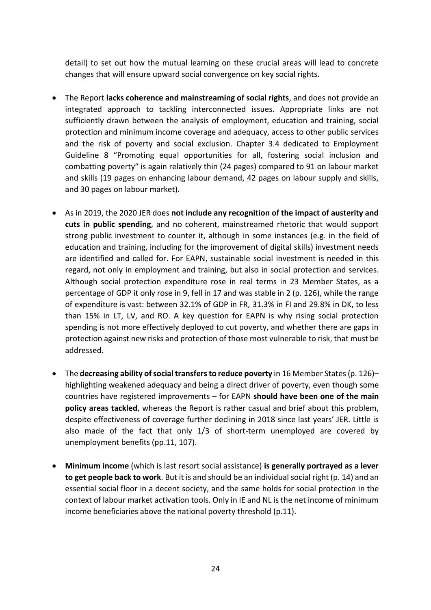detail) to set out how the mutual learning on these crucial areas will lead to concrete changes that will ensure upward social convergence on key social rights.

- The Report **lacks coherence and mainstreaming of social rights**, and does not provide an integrated approach to tackling interconnected issues. Appropriate links are not sufficiently drawn between the analysis of employment, education and training, social protection and minimum income coverage and adequacy, access to other public services and the risk of poverty and social exclusion. Chapter 3.4 dedicated to Employment Guideline 8 "Promoting equal opportunities for all, fostering social inclusion and combatting poverty" is again relatively thin (24 pages) compared to 91 on labour market and skills (19 pages on enhancing labour demand, 42 pages on labour supply and skills, and 30 pages on labour market).
- As in 2019, the 2020 JER does **not include any recognition of the impact of austerity and cuts in public spending**, and no coherent, mainstreamed rhetoric that would support strong public investment to counter it, although in some instances (e.g. in the field of education and training, including for the improvement of digital skills) investment needs are identified and called for. For EAPN, sustainable social investment is needed in this regard, not only in employment and training, but also in social protection and services. Although social protection expenditure rose in real terms in 23 Member States, as a percentage of GDP it only rose in 9, fell in 17 and was stable in 2 (p. 126), while the range of expenditure is vast: between 32.1% of GDP in FR, 31.3% in FI and 29.8% in DK, to less than 15% in LT, LV, and RO. A key question for EAPN is why rising social protection spending is not more effectively deployed to cut poverty, and whether there are gaps in protection against new risks and protection of those most vulnerable to risk, that must be addressed.
- The **decreasing ability of social transfers to reduce poverty in 16 Member States (p. 126)–** highlighting weakened adequacy and being a direct driver of poverty, even though some countries have registered improvements – for EAPN **should have been one of the main policy areas tackled**, whereas the Report is rather casual and brief about this problem, despite effectiveness of coverage further declining in 2018 since last years' JER. Little is also made of the fact that only 1/3 of short-term unemployed are covered by unemployment benefits (pp.11, 107).
- **Minimum income** (which is last resort social assistance) **is generally portrayed as a lever to get people back to work**. But it is and should be an individual social right (p. 14) and an essential social floor in a decent society, and the same holds for social protection in the context of labour market activation tools. Only in IE and NL is the net income of minimum income beneficiaries above the national poverty threshold (p.11).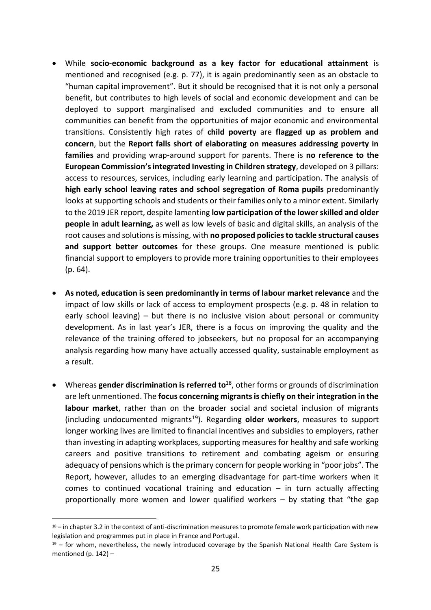- While **socio-economic background as a key factor for educational attainment** is mentioned and recognised (e.g. p. 77), it is again predominantly seen as an obstacle to "human capital improvement". But it should be recognised that it is not only a personal benefit, but contributes to high levels of social and economic development and can be deployed to support marginalised and excluded communities and to ensure all communities can benefit from the opportunities of major economic and environmental transitions. Consistently high rates of **child poverty** are **flagged up as problem and concern**, but the **Report falls short of elaborating on measures addressing poverty in families** and providing wrap-around support for parents. There is **no reference to the European Commission's integrated Investing in Children strategy**, developed on 3 pillars: access to resources, services, including early learning and participation. The analysis of **high early school leaving rates and school segregation of Roma pupils** predominantly looks at supporting schools and students or their families only to a minor extent. Similarly to the 2019 JER report, despite lamenting **low participation of the lower skilled and older people in adult learning,** as well as low levels of basic and digital skills, an analysis of the root causes and solutions is missing, with **no proposed policies to tackle structural causes and support better outcomes** for these groups. One measure mentioned is public financial support to employers to provide more training opportunities to their employees (p. 64).
- **As noted, education is seen predominantly in terms of labour market relevance** and the impact of low skills or lack of access to employment prospects (e.g. p. 48 in relation to early school leaving) – but there is no inclusive vision about personal or community development. As in last year's JER, there is a focus on improving the quality and the relevance of the training offered to jobseekers, but no proposal for an accompanying analysis regarding how many have actually accessed quality, sustainable employment as a result.
- Whereas **gender discrimination is referred to**<sup>18</sup>, other forms or grounds of discrimination are left unmentioned. The **focus concerning migrants is chiefly on their integration in the labour market**, rather than on the broader social and societal inclusion of migrants (including undocumented migrants<sup>19</sup>). Regarding **older workers**, measures to support longer working lives are limited to financial incentives and subsidies to employers, rather than investing in adapting workplaces, supporting measures for healthy and safe working careers and positive transitions to retirement and combating ageism or ensuring adequacy of pensions which is the primary concern for people working in "poor jobs". The Report, however, alludes to an emerging disadvantage for part-time workers when it comes to continued vocational training and education – in turn actually affecting proportionally more women and lower qualified workers – by stating that "the gap

 $18 -$  in chapter 3.2 in the context of anti-discrimination measures to promote female work participation with new legislation and programmes put in place in France and Portugal.

 $19$  – for whom, nevertheless, the newly introduced coverage by the Spanish National Health Care System is mentioned (p.  $142$ ) –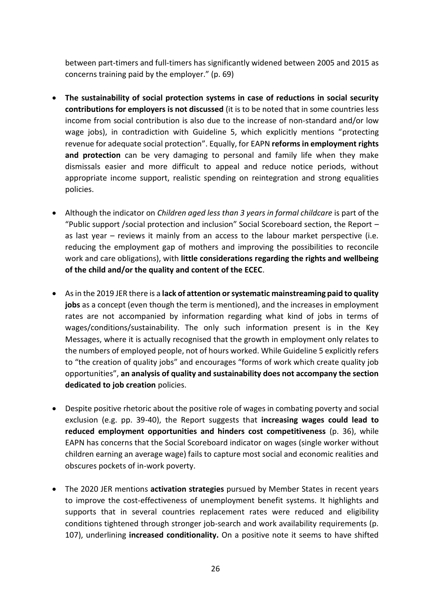between part-timers and full-timers has significantly widened between 2005 and 2015 as concerns training paid by the employer." (p. 69)

- **The sustainability of social protection systems in case of reductions in social security contributions for employers is not discussed** (it is to be noted that in some countries less income from social contribution is also due to the increase of non-standard and/or low wage jobs), in contradiction with Guideline 5, which explicitly mentions "protecting revenue for adequate social protection". Equally, for EAPN **reforms in employment rights and protection** can be very damaging to personal and family life when they make dismissals easier and more difficult to appeal and reduce notice periods, without appropriate income support, realistic spending on reintegration and strong equalities policies.
- Although the indicator on *Children aged less than 3 years in formal childcare* is part of the "Public support /social protection and inclusion" Social Scoreboard section, the Report – as last year – reviews it mainly from an access to the labour market perspective (i.e. reducing the employment gap of mothers and improving the possibilities to reconcile work and care obligations), with **little considerations regarding the rights and wellbeing of the child and/or the quality and content of the ECEC**.
- As in the 2019 JER there is a **lack of attention or systematic mainstreaming paid to quality jobs** as a concept (even though the term is mentioned), and the increases in employment rates are not accompanied by information regarding what kind of jobs in terms of wages/conditions/sustainability. The only such information present is in the Key Messages, where it is actually recognised that the growth in employment only relates to the numbers of employed people, not of hours worked. While Guideline 5 explicitly refers to "the creation of quality jobs" and encourages "forms of work which create quality job opportunities", **an analysis of quality and sustainability does not accompany the section dedicated to job creation** policies.
- Despite positive rhetoric about the positive role of wages in combating poverty and social exclusion (e.g. pp. 39-40), the Report suggests that **increasing wages could lead to reduced employment opportunities and hinders cost competitiveness** (p. 36), while EAPN has concerns that the Social Scoreboard indicator on wages (single worker without children earning an average wage) fails to capture most social and economic realities and obscures pockets of in-work poverty.
- The 2020 JER mentions **activation strategies** pursued by Member States in recent years to improve the cost-effectiveness of unemployment benefit systems. It highlights and supports that in several countries replacement rates were reduced and eligibility conditions tightened through stronger job-search and work availability requirements (p. 107), underlining **increased conditionality.** On a positive note it seems to have shifted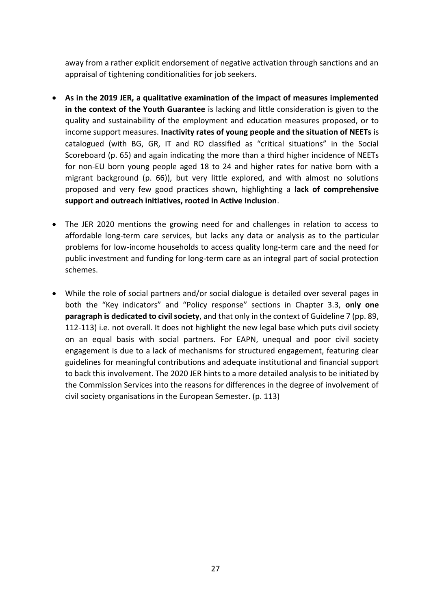away from a rather explicit endorsement of negative activation through sanctions and an appraisal of tightening conditionalities for job seekers.

- **As in the 2019 JER, a qualitative examination of the impact of measures implemented in the context of the Youth Guarantee** is lacking and little consideration is given to the quality and sustainability of the employment and education measures proposed, or to income support measures. **Inactivity rates of young people and the situation of NEETs** is catalogued (with BG, GR, IT and RO classified as "critical situations" in the Social Scoreboard (p. 65) and again indicating the more than a third higher incidence of NEETs for non-EU born young people aged 18 to 24 and higher rates for native born with a migrant background (p. 66)), but very little explored, and with almost no solutions proposed and very few good practices shown, highlighting a **lack of comprehensive support and outreach initiatives, rooted in Active Inclusion**.
- The JER 2020 mentions the growing need for and challenges in relation to access to affordable long-term care services, but lacks any data or analysis as to the particular problems for low-income households to access quality long-term care and the need for public investment and funding for long-term care as an integral part of social protection schemes.
- While the role of social partners and/or social dialogue is detailed over several pages in both the "Key indicators" and "Policy response" sections in Chapter 3.3, **only one paragraph is dedicated to civil society**, and that only in the context of Guideline 7 (pp. 89, 112-113) i.e. not overall. It does not highlight the new legal base which puts civil society on an equal basis with social partners. For EAPN, unequal and poor civil society engagement is due to a lack of mechanisms for structured engagement, featuring clear guidelines for meaningful contributions and adequate institutional and financial support to back this involvement. The 2020 JER hints to a more detailed analysis to be initiated by the Commission Services into the reasons for differences in the degree of involvement of civil society organisations in the European Semester. (p. 113)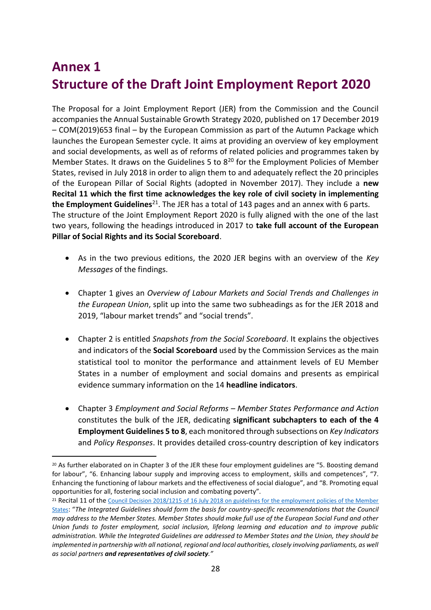# **Annex 1 Structure of the Draft Joint Employment Report 2020**

The Proposal for a Joint Employment Report (JER) from the Commission and the Council accompanies the Annual Sustainable Growth Strategy 2020, published on 17 December 2019 – COM(2019)653 final – by the European Commission as part of the Autumn Package which launches the European Semester cycle. It aims at providing an overview of key employment and social developments, as well as of reforms of related policies and programmes taken by Member States. It draws on the Guidelines 5 to  $8^{20}$  for the Employment Policies of Member States, revised in July 2018 in order to align them to and adequately reflect the 20 principles of the European Pillar of Social Rights (adopted in November 2017). They include a **new Recital 11 which the first time acknowledges the key role of civil society in implementing the Employment Guidelines**<sup>21</sup>. The JER has a total of 143 pages and an annex with 6 parts. The structure of the Joint Employment Report 2020 is fully aligned with the one of the last two years, following the headings introduced in 2017 to **take full account of the European Pillar of Social Rights and its Social Scoreboard**.

- As in the two previous editions, the 2020 JER begins with an overview of the *Key Messages* of the findings.
- Chapter 1 gives an *Overview of Labour Markets and Social Trends and Challenges in the European Union*, split up into the same two subheadings as for the JER 2018 and 2019, "labour market trends" and "social trends".
- Chapter 2 is entitled *Snapshots from the Social Scoreboard*. It explains the objectives and indicators of the **Social Scoreboard** used by the Commission Services as the main statistical tool to monitor the performance and attainment levels of EU Member States in a number of employment and social domains and presents as empirical evidence summary information on the 14 **headline indicators**.
- Chapter 3 *Employment and Social Reforms – Member States Performance and Action* constitutes the bulk of the JER, dedicating **significant subchapters to each of the 4 Employment Guidelines 5 to 8**, each monitored through subsections on *Key Indicators* and *Policy Responses*. It provides detailed cross-country description of key indicators

<sup>20</sup> As further elaborated on in Chapter 3 of the JER these four employment guidelines are "5. Boosting demand for labour", "6. Enhancing labour supply and improving access to employment, skills and competences", "7. Enhancing the functioning of labour markets and the effectiveness of social dialogue", and "8. Promoting equal opportunities for all, fostering social inclusion and combating poverty".

<sup>&</sup>lt;sup>21</sup> Recital 11 of the Council Decision 2018/1215 of 16 July 2018 on guidelines for the employment policies of the Member [States](https://eur-lex.europa.eu/legal-content/en/TXT/?uri=CELEX:32018D1215): "*The Integrated Guidelines should form the basis for country-specific recommendations that the Council may address to the Member States. Member States should make full use of the European Social Fund and other Union funds to foster employment, social inclusion, lifelong learning and education and to improve public administration. While the Integrated Guidelines are addressed to Member States and the Union, they should be implemented in partnership with all national, regional and local authorities, closely involving parliaments, as well as social partners and representatives of civil society."*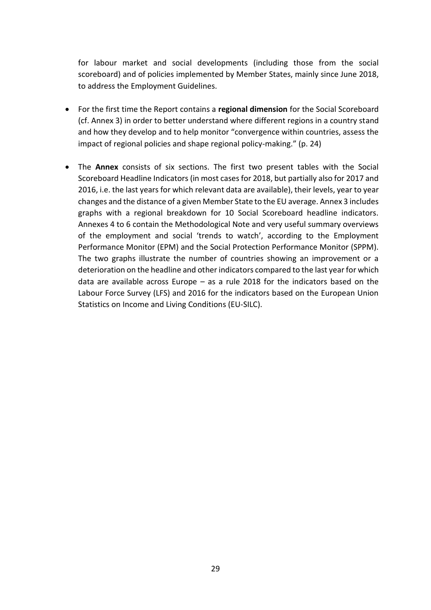for labour market and social developments (including those from the social scoreboard) and of policies implemented by Member States, mainly since June 2018, to address the Employment Guidelines.

- For the first time the Report contains a **regional dimension** for the Social Scoreboard (cf. Annex 3) in order to better understand where different regions in a country stand and how they develop and to help monitor "convergence within countries, assess the impact of regional policies and shape regional policy-making." (p. 24)
- The **Annex** consists of six sections. The first two present tables with the Social Scoreboard Headline Indicators (in most cases for 2018, but partially also for 2017 and 2016, i.e. the last years for which relevant data are available), their levels, year to year changes and the distance of a given Member State to the EU average. Annex 3 includes graphs with a regional breakdown for 10 Social Scoreboard headline indicators. Annexes 4 to 6 contain the Methodological Note and very useful summary overviews of the employment and social 'trends to watch', according to the Employment Performance Monitor (EPM) and the Social Protection Performance Monitor (SPPM). The two graphs illustrate the number of countries showing an improvement or a deterioration on the headline and other indicators compared to the last year for which data are available across Europe – as a rule 2018 for the indicators based on the Labour Force Survey (LFS) and 2016 for the indicators based on the European Union Statistics on Income and Living Conditions (EU-SILC).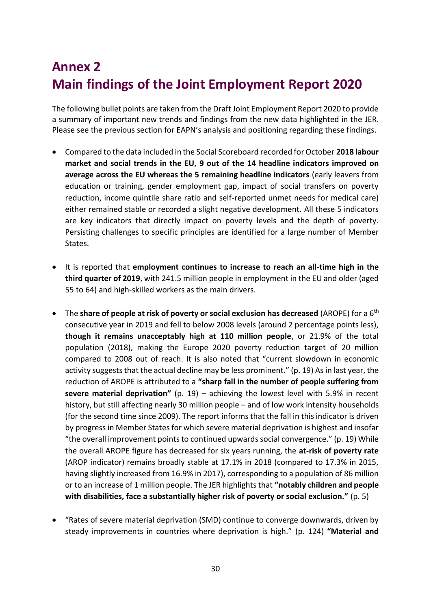# **Annex 2 Main findings of the Joint Employment Report 2020**

The following bullet points are taken from the Draft Joint Employment Report 2020 to provide a summary of important new trends and findings from the new data highlighted in the JER. Please see the previous section for EAPN's analysis and positioning regarding these findings.

- Compared to the data included in the Social Scoreboard recorded for October **2018 labour market and social trends in the EU, 9 out of the 14 headline indicators improved on average across the EU whereas the 5 remaining headline indicators** (early leavers from education or training, gender employment gap, impact of social transfers on poverty reduction, income quintile share ratio and self-reported unmet needs for medical care) either remained stable or recorded a slight negative development. All these 5 indicators are key indicators that directly impact on poverty levels and the depth of poverty. Persisting challenges to specific principles are identified for a large number of Member States.
- It is reported that **employment continues to increase to reach an all-time high in the third quarter of 2019**, with 241.5 million people in employment in the EU and older (aged 55 to 64) and high-skilled workers as the main drivers.
- The **share of people at risk of poverty or social exclusion has decreased** (AROPE) for a 6th consecutive year in 2019 and fell to below 2008 levels (around 2 percentage points less), **though it remains unacceptably high at 110 million people**, or 21.9% of the total population (2018), making the Europe 2020 poverty reduction target of 20 million compared to 2008 out of reach. It is also noted that "current slowdown in economic activity suggests that the actual decline may be less prominent." (p. 19) As in last year, the reduction of AROPE is attributed to a **"sharp fall in the number of people suffering from severe material deprivation"** (p. 19) – achieving the lowest level with 5.9% in recent history, but still affecting nearly 30 million people – and of low work intensity households (for the second time since 2009). The report informs that the fall in this indicator is driven by progress in Member States for which severe material deprivation is highest and insofar "the overall improvement points to continued upwards social convergence." (p. 19) While the overall AROPE figure has decreased for six years running, the **at-risk of poverty rate** (AROP indicator) remains broadly stable at 17.1% in 2018 (compared to 17.3% in 2015, having slightly increased from 16.9% in 2017), corresponding to a population of 86 million or to an increase of 1 million people. The JER highlights that **"notably children and people with disabilities, face a substantially higher risk of poverty or social exclusion."** (p. 5)
- "Rates of severe material deprivation (SMD) continue to converge downwards, driven by steady improvements in countries where deprivation is high." (p. 124) **"Material and**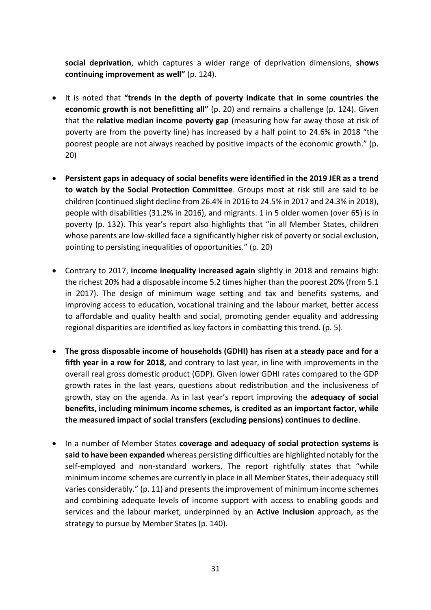**social deprivation**, which captures a wider range of deprivation dimensions, **shows continuing improvement as well"** (p. 124).

- It is noted that **"trends in the depth of poverty indicate that in some countries the economic growth is not benefitting all"** (p. 20) and remains a challenge (p. 124). Given that the **relative median income poverty gap** (measuring how far away those at risk of poverty are from the poverty line) has increased by a half point to 24.6% in 2018 "the poorest people are not always reached by positive impacts of the economic growth." (p. 20)
- **Persistent gaps in adequacy of social benefits were identified in the 2019 JER as a trend to watch by the Social Protection Committee**. Groups most at risk still are said to be children (continued slight decline from 26.4% in 2016 to 24.5% in 2017 and 24.3% in 2018), people with disabilities (31.2% in 2016), and migrants. 1 in 5 older women (over 65) is in poverty (p. 132). This year's report also highlights that "in all Member States, children whose parents are low-skilled face a significantly higher risk of poverty or social exclusion, pointing to persisting inequalities of opportunities." (p. 20)
- Contrary to 2017, **income inequality increased again** slightly in 2018 and remains high: the richest 20% had a disposable income 5.2 times higher than the poorest 20% (from 5.1 in 2017). The design of minimum wage setting and tax and benefits systems, and improving access to education, vocational training and the labour market, better access to affordable and quality health and social, promoting gender equality and addressing regional disparities are identified as key factors in combatting this trend. (p. 5).
- **The gross disposable income of households (GDHI) has risen at a steady pace and for a fifth year in a row for 2018,** and contrary to last year, in line with improvements in the overall real gross domestic product (GDP). Given lower GDHI rates compared to the GDP growth rates in the last years, questions about redistribution and the inclusiveness of growth, stay on the agenda. As in last year's report improving the **adequacy of social benefits, including minimum income schemes, is credited as an important factor, while the measured impact of social transfers (excluding pensions) continues to decline**.
- In a number of Member States **coverage and adequacy of social protection systems is said to have been expanded** whereas persisting difficulties are highlighted notably for the self-employed and non-standard workers. The report rightfully states that "while minimum income schemes are currently in place in all Member States, their adequacy still varies considerably." (p. 11) and presents the improvement of minimum income schemes and combining adequate levels of income support with access to enabling goods and services and the labour market, underpinned by an **Active Inclusion** approach, as the strategy to pursue by Member States (p. 140).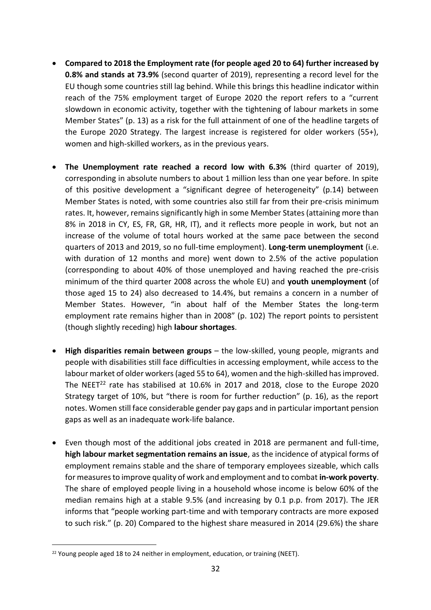- **Compared to 2018 the Employment rate (for people aged 20 to 64) further increased by 0.8% and stands at 73.9%** (second quarter of 2019), representing a record level for the EU though some countries still lag behind. While this brings this headline indicator within reach of the 75% employment target of Europe 2020 the report refers to a "current slowdown in economic activity, together with the tightening of labour markets in some Member States" (p. 13) as a risk for the full attainment of one of the headline targets of the Europe 2020 Strategy. The largest increase is registered for older workers (55+), women and high-skilled workers, as in the previous years.
- **The Unemployment rate reached a record low with 6.3%** (third quarter of 2019), corresponding in absolute numbers to about 1 million less than one year before. In spite of this positive development a "significant degree of heterogeneity" (p.14) between Member States is noted, with some countries also still far from their pre-crisis minimum rates. It, however, remains significantly high in some Member States (attaining more than 8% in 2018 in CY, ES, FR, GR, HR, IT), and it reflects more people in work, but not an increase of the volume of total hours worked at the same pace between the second quarters of 2013 and 2019, so no full-time employment). **Long-term unemployment** (i.e. with duration of 12 months and more) went down to 2.5% of the active population (corresponding to about 40% of those unemployed and having reached the pre-crisis minimum of the third quarter 2008 across the whole EU) and **youth unemployment** (of those aged 15 to 24) also decreased to 14.4%, but remains a concern in a number of Member States. However, "in about half of the Member States the long-term employment rate remains higher than in 2008" (p. 102) The report points to persistent (though slightly receding) high **labour shortages**.
- **High disparities remain between groups** the low-skilled, young people, migrants and people with disabilities still face difficulties in accessing employment, while access to the labour market of older workers (aged 55 to 64), women and the high-skilled has improved. The NEET<sup>22</sup> rate has stabilised at 10.6% in 2017 and 2018, close to the Europe 2020 Strategy target of 10%, but "there is room for further reduction" (p. 16), as the report notes. Women still face considerable gender pay gaps and in particular important pension gaps as well as an inadequate work-life balance.
- Even though most of the additional jobs created in 2018 are permanent and full-time, **high labour market segmentation remains an issue**, as the incidence of atypical forms of employment remains stable and the share of temporary employees sizeable, which calls for measures to improve quality of work and employment and to combat **in-work poverty**. The share of employed people living in a household whose income is below 60% of the median remains high at a stable 9.5% (and increasing by 0.1 p.p. from 2017). The JER informs that "people working part-time and with temporary contracts are more exposed to such risk." (p. 20) Compared to the highest share measured in 2014 (29.6%) the share

<sup>&</sup>lt;sup>22</sup> Young people aged 18 to 24 neither in employment, education, or training (NEET).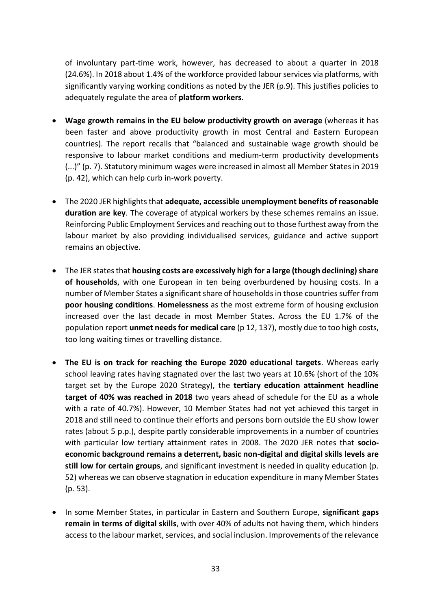of involuntary part-time work, however, has decreased to about a quarter in 2018 (24.6%). In 2018 about 1.4% of the workforce provided labour services via platforms, with significantly varying working conditions as noted by the JER (p.9). This justifies policies to adequately regulate the area of **platform workers**.

- **Wage growth remains in the EU below productivity growth on average** (whereas it has been faster and above productivity growth in most Central and Eastern European countries). The report recalls that "balanced and sustainable wage growth should be responsive to labour market conditions and medium-term productivity developments (...)" (p. 7). Statutory minimum wages were increased in almost all Member States in 2019 (p. 42), which can help curb in-work poverty.
- The 2020 JER highlights that **adequate, accessible unemployment benefits of reasonable duration are key**. The coverage of atypical workers by these schemes remains an issue. Reinforcing Public Employment Services and reaching out to those furthest away from the labour market by also providing individualised services, guidance and active support remains an objective.
- The JER states that **housing costs are excessively high for a large (though declining) share of households**, with one European in ten being overburdened by housing costs. In a number of Member States a significant share of households in those countries suffer from **poor housing conditions**. **Homelessness** as the most extreme form of housing exclusion increased over the last decade in most Member States. Across the EU 1.7% of the population report **unmet needs for medical care** (p 12, 137), mostly due to too high costs, too long waiting times or travelling distance.
- **The EU is on track for reaching the Europe 2020 educational targets**. Whereas early school leaving rates having stagnated over the last two years at 10.6% (short of the 10% target set by the Europe 2020 Strategy), the **tertiary education attainment headline target of 40% was reached in 2018** two years ahead of schedule for the EU as a whole with a rate of 40.7%). However, 10 Member States had not yet achieved this target in 2018 and still need to continue their efforts and persons born outside the EU show lower rates (about 5 p.p.), despite partly considerable improvements in a number of countries with particular low tertiary attainment rates in 2008. The 2020 JER notes that **socioeconomic background remains a deterrent, basic non-digital and digital skills levels are still low for certain groups**, and significant investment is needed in quality education (p. 52) whereas we can observe stagnation in education expenditure in many Member States (p. 53).
- In some Member States, in particular in Eastern and Southern Europe, **significant gaps remain in terms of digital skills**, with over 40% of adults not having them, which hinders access to the labour market, services, and social inclusion. Improvements of the relevance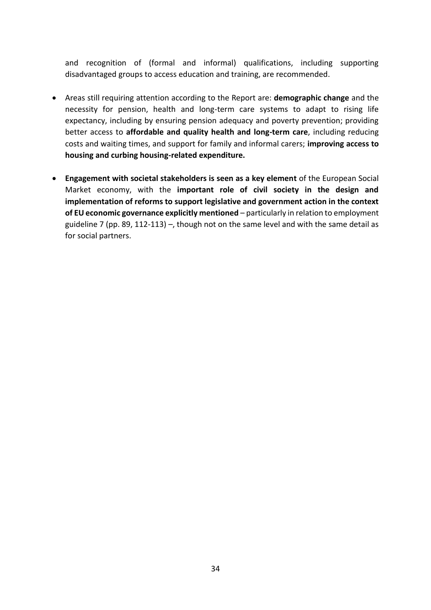and recognition of (formal and informal) qualifications, including supporting disadvantaged groups to access education and training, are recommended.

- Areas still requiring attention according to the Report are: **demographic change** and the necessity for pension, health and long-term care systems to adapt to rising life expectancy, including by ensuring pension adequacy and poverty prevention; providing better access to **affordable and quality health and long-term care**, including reducing costs and waiting times, and support for family and informal carers; **improving access to housing and curbing housing-related expenditure.**
- **Engagement with societal stakeholders is seen as a key element** of the European Social Market economy, with the **important role of civil society in the design and implementation of reforms to support legislative and government action in the context of EU economic governance explicitly mentioned** – particularly in relation to employment guideline 7 (pp. 89, 112-113) –, though not on the same level and with the same detail as for social partners.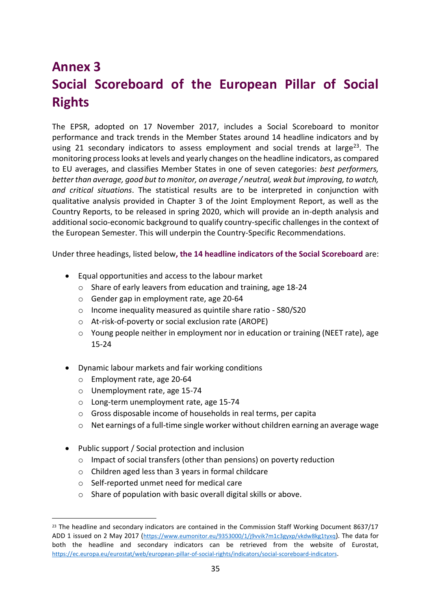# **Annex 3 Social Scoreboard of the European Pillar of Social Rights**

The EPSR, adopted on 17 November 2017, includes a Social Scoreboard to monitor performance and track trends in the Member States around 14 headline indicators and by using 21 secondary indicators to assess employment and social trends at large<sup>23</sup>. The monitoring process looks at levels and yearly changes on the headline indicators, as compared to EU averages, and classifies Member States in one of seven categories: *best performers, better than average, good but to monitor, on average / neutral, weak but improving, to watch, and critical situations*. The statistical results are to be interpreted in conjunction with qualitative analysis provided in Chapter 3 of the Joint Employment Report, as well as the Country Reports, to be released in spring 2020, which will provide an in-depth analysis and additional socio-economic background to qualify country-specific challenges in the context of the European Semester. This will underpin the Country-Specific Recommendations.

Under three headings, listed below**, the 14 headline indicators of the Social Scoreboard** are:

- Equal opportunities and access to the labour market
	- o Share of early leavers from education and training, age 18-24
	- o Gender gap in employment rate, age 20-64
	- o Income inequality measured as quintile share ratio S80/S20
	- o At-risk-of-poverty or social exclusion rate (AROPE)
	- o Young people neither in employment nor in education or training (NEET rate), age 15-24
- Dynamic labour markets and fair working conditions
	- o Employment rate, age 20-64
	- o Unemployment rate, age 15-74
	- o Long-term unemployment rate, age 15-74
	- o Gross disposable income of households in real terms, per capita
	- o Net earnings of a full-time single worker without children earning an average wage
- Public support / Social protection and inclusion
	- o Impact of social transfers (other than pensions) on poverty reduction
	- o Children aged less than 3 years in formal childcare
	- o Self-reported unmet need for medical care
	- o Share of population with basic overall digital skills or above.

<sup>&</sup>lt;sup>23</sup> The headline and secondary indicators are contained in the Commission Staff Working Document 8637/17 ADD 1 issued on 2 May 2017 (<https://www.eumonitor.eu/9353000/1/j9vvik7m1c3gyxp/vkdw8kg1tyxq>). The data for both the headline and secondary indicators can be retrieved from the website of Eurostat, <https://ec.europa.eu/eurostat/web/european-pillar-of-social-rights/indicators/social-scoreboard-indicators>.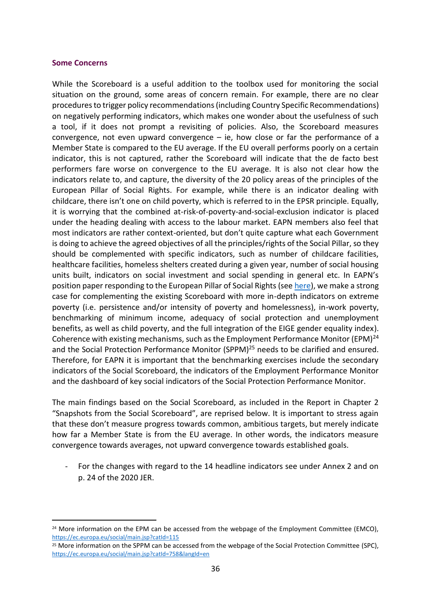#### **Some Concerns**

While the Scoreboard is a useful addition to the toolbox used for monitoring the social situation on the ground, some areas of concern remain. For example, there are no clear procedures to trigger policy recommendations (including Country Specific Recommendations) on negatively performing indicators, which makes one wonder about the usefulness of such a tool, if it does not prompt a revisiting of policies. Also, the Scoreboard measures convergence, not even upward convergence  $-$  ie, how close or far the performance of a Member State is compared to the EU average. If the EU overall performs poorly on a certain indicator, this is not captured, rather the Scoreboard will indicate that the de facto best performers fare worse on convergence to the EU average. It is also not clear how the indicators relate to, and capture, the diversity of the 20 policy areas of the principles of the European Pillar of Social Rights. For example, while there is an indicator dealing with childcare, there isn't one on child poverty, which is referred to in the EPSR principle. Equally, it is worrying that the combined at-risk-of-poverty-and-social-exclusion indicator is placed under the heading dealing with access to the labour market. EAPN members also feel that most indicators are rather context-oriented, but don't quite capture what each Government is doing to achieve the agreed objectives of all the principles/rights of the Social Pillar, so they should be complemented with specific indicators, such as number of childcare facilities, healthcare facilities, homeless shelters created during a given year, number of social housing units built, indicators on social investment and social spending in general etc. In EAPN's position paper responding to the European Pillar of Social Rights (se[e here\)](https://www.eapn.eu/wp-content/uploads/2017/09/EAPN-2017-EAPN-Response-European-Pillar-Social-Rights-1314.pdf), we make a strong case for complementing the existing Scoreboard with more in-depth indicators on extreme poverty (i.e. persistence and/or intensity of poverty and homelessness), in-work poverty, benchmarking of minimum income, adequacy of social protection and unemployment benefits, as well as child poverty, and the full integration of the EIGE gender equality index). Coherence with existing mechanisms, such as the Employment Performance Monitor (EPM) $^{24}$ and the Social Protection Performance Monitor (SPPM)<sup>25</sup> needs to be clarified and ensured. Therefore, for EAPN it is important that the benchmarking exercises include the secondary indicators of the Social Scoreboard, the indicators of the Employment Performance Monitor and the dashboard of key social indicators of the Social Protection Performance Monitor.

The main findings based on the Social Scoreboard, as included in the Report in Chapter 2 "Snapshots from the Social Scoreboard", are reprised below. It is important to stress again that these don't measure progress towards common, ambitious targets, but merely indicate how far a Member State is from the EU average. In other words, the indicators measure convergence towards averages, not upward convergence towards established goals.

For the changes with regard to the 14 headline indicators see under Annex 2 and on p. 24 of the 2020 JER.

<sup>&</sup>lt;sup>24</sup> More information on the EPM can be accessed from the webpage of the Employment Committee (EMCO), <https://ec.europa.eu/social/main.jsp?catId=115>

<sup>&</sup>lt;sup>25</sup> More information on the SPPM can be accessed from the webpage of the Social Protection Committee (SPC), <https://ec.europa.eu/social/main.jsp?catId=758&langId=en>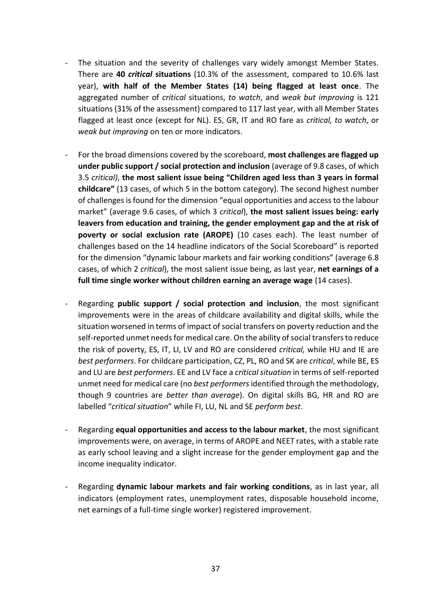- The situation and the severity of challenges vary widely amongst Member States. There are **40** *critical* **situations** (10.3% of the assessment, compared to 10.6% last year), **with half of the Member States (14) being flagged at least once**. The aggregated number of *critical* situations, *to watch*, and *weak but improving* is 121 situations (31% of the assessment) compared to 117 last year, with all Member States flagged at least once (except for NL). ES, GR, IT and RO fare as *critical, to watch*, or *weak but improving* on ten or more indicators.
- For the broad dimensions covered by the scoreboard, **most challenges are flagged up under public support / social protection and inclusion** (average of 9.8 cases, of which 3.5 *critical)*, **the most salient issue being "Children aged less than 3 years in formal childcare"** (13 cases, of which 5 in the bottom category). The second highest number of challenges is found for the dimension "equal opportunities and access to the labour market" (average 9.6 cases, of which 3 *critical*), **the most salient issues being: early leavers from education and training, the gender employment gap and the at risk of poverty or social exclusion rate (AROPE)** (10 cases each). The least number of challenges based on the 14 headline indicators of the Social Scoreboard" is reported for the dimension "dynamic labour markets and fair working conditions" (average 6.8 cases, of which 2 *critical*), the most salient issue being, as last year, **net earnings of a full time single worker without children earning an average wage** (14 cases).
- Regarding **public support / social protection and inclusion**, the most significant improvements were in the areas of childcare availability and digital skills, while the situation worsened in terms of impact of social transfers on poverty reduction and the self-reported unmet needs for medical care. On the ability of social transfers to reduce the risk of poverty, ES, IT, LI, LV and RO are considered *critical,* while HU and IE are *best performers*. For childcare participation, CZ, PL, RO and SK are *critical*, while BE, ES and LU are *best performers*. EE and LV face a *critical situation* in terms of self-reported unmet need for medical care (no *best performers*identified through the methodology, though 9 countries are *better than average*). On digital skills BG, HR and RO are labelled "*critical situation*" while FI, LU, NL and SE *perform best*.
- Regarding **equal opportunities and access to the labour market**, the most significant improvements were, on average, in terms of AROPE and NEET rates, with a stable rate as early school leaving and a slight increase for the gender employment gap and the income inequality indicator.
- Regarding **dynamic labour markets and fair working conditions**, as in last year, all indicators (employment rates, unemployment rates, disposable household income, net earnings of a full-time single worker) registered improvement.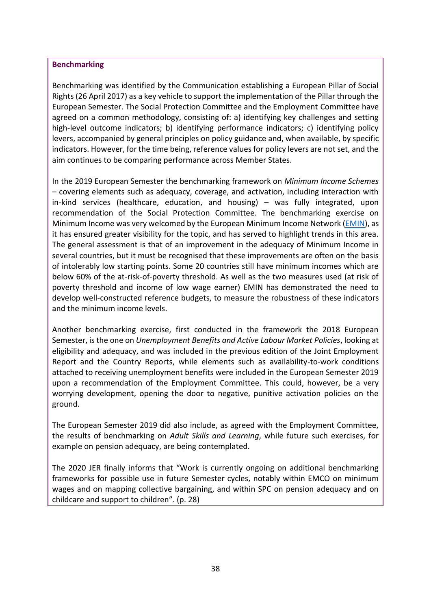#### **Benchmarking**

Benchmarking was identified by the Communication establishing a European Pillar of Social Rights (26 April 2017) as a key vehicle to support the implementation of the Pillar through the European Semester. The Social Protection Committee and the Employment Committee have agreed on a common methodology, consisting of: a) identifying key challenges and setting high-level outcome indicators; b) identifying performance indicators; c) identifying policy levers, accompanied by general principles on policy guidance and, when available, by specific indicators. However, for the time being, reference values for policy levers are not set, and the aim continues to be comparing performance across Member States.

In the 2019 European Semester the benchmarking framework on *Minimum Income Schemes* – covering elements such as adequacy, coverage, and activation, including interaction with in-kind services (healthcare, education, and housing) – was fully integrated, upon recommendation of the Social Protection Committee. The benchmarking exercise on Minimum Income was very welcomed by the European Minimum Income Network [\(EMIN\)](https://emin-eu.net/), as it has ensured greater visibility for the topic, and has served to highlight trends in this area. The general assessment is that of an improvement in the adequacy of Minimum Income in several countries, but it must be recognised that these improvements are often on the basis of intolerably low starting points. Some 20 countries still have minimum incomes which are below 60% of the at-risk-of-poverty threshold. As well as the two measures used (at risk of poverty threshold and income of low wage earner) EMIN has demonstrated the need to develop well-constructed reference budgets, to measure the robustness of these indicators and the minimum income levels.

Another benchmarking exercise, first conducted in the framework the 2018 European Semester, is the one on *Unemployment Benefits and Active Labour Market Policies*, looking at eligibility and adequacy, and was included in the previous edition of the Joint Employment Report and the Country Reports, while elements such as availability-to-work conditions attached to receiving unemployment benefits were included in the European Semester 2019 upon a recommendation of the Employment Committee. This could, however, be a very worrying development, opening the door to negative, punitive activation policies on the ground.

The European Semester 2019 did also include, as agreed with the Employment Committee, the results of benchmarking on *Adult Skills and Learning*, while future such exercises, for example on pension adequacy, are being contemplated.

The 2020 JER finally informs that "Work is currently ongoing on additional benchmarking frameworks for possible use in future Semester cycles, notably within EMCO on minimum wages and on mapping collective bargaining, and within SPC on pension adequacy and on childcare and support to children". (p. 28)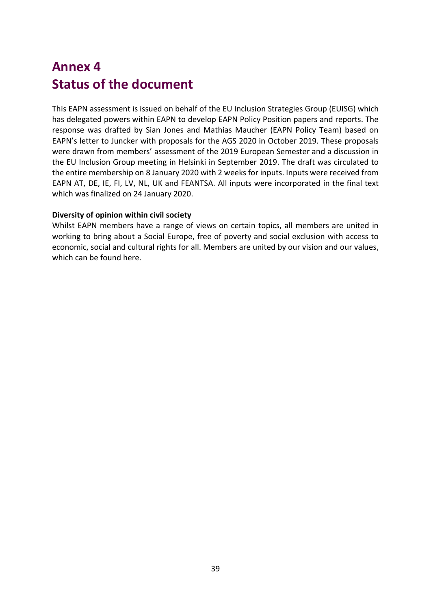# **Annex 4 Status of the document**

This EAPN assessment is issued on behalf of the EU Inclusion Strategies Group (EUISG) which has delegated powers within EAPN to develop EAPN Policy Position papers and reports. The response was drafted by Sian Jones and Mathias Maucher (EAPN Policy Team) based on EAPN's letter to Juncker with proposals for the AGS 2020 in October 2019. These proposals were drawn from members' assessment of the 2019 European Semester and a discussion in the EU Inclusion Group meeting in Helsinki in September 2019. The draft was circulated to the entire membership on 8 January 2020 with 2 weeks for inputs. Inputs were received from EAPN AT, DE, IE, FI, LV, NL, UK and FEANTSA. All inputs were incorporated in the final text which was finalized on 24 January 2020.

#### **Diversity of opinion within civil society**

Whilst EAPN members have a range of views on certain topics, all members are united in working to bring about a Social Europe, free of poverty and social exclusion with access to economic, social and cultural rights for all. Members are united by our vision and our values, which can be found here.